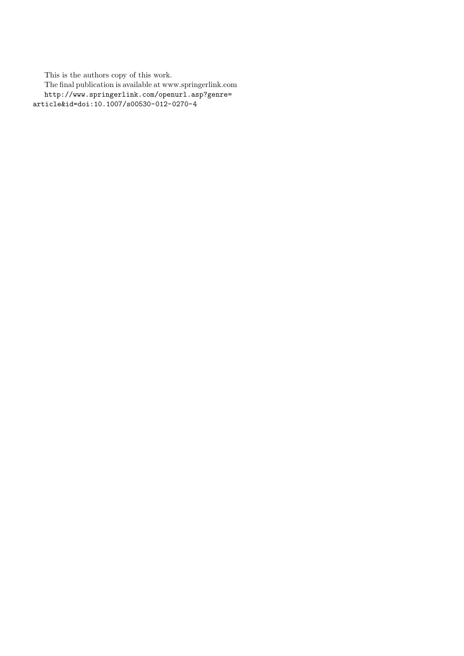This is the authors copy of this work. The final publication is available at www.springerlink.com http://www.springerlink.com/openurl.asp?genre= article&id=doi:10.1007/s00530-012-0270-4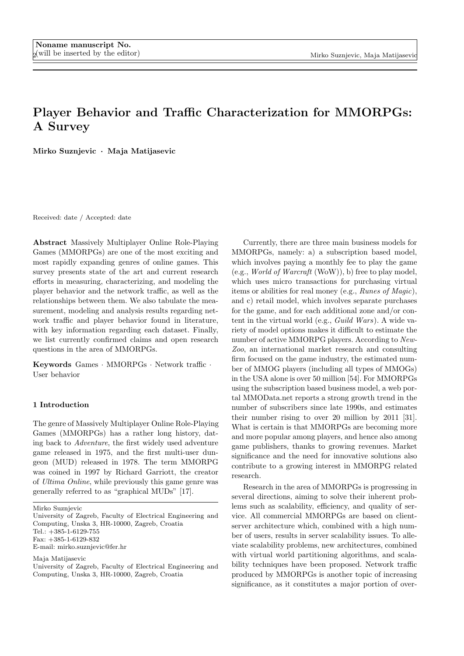# Player Behavior and Traffic Characterization for MMORPGs: A Survey

Mirko Suznjevic · Maja Matijasevic

Received: date / Accepted: date

Abstract Massively Multiplayer Online Role-Playing Games (MMORPGs) are one of the most exciting and most rapidly expanding genres of online games. This survey presents state of the art and current research efforts in measuring, characterizing, and modeling the player behavior and the network traffic, as well as the relationships between them. We also tabulate the measurement, modeling and analysis results regarding network traffic and player behavior found in literature, with key information regarding each dataset. Finally, we list currently confirmed claims and open research questions in the area of MMORPGs.

Keywords Games · MMORPGs · Network traffic · User behavior

# 1 Introduction

The genre of Massively Multiplayer Online Role-Playing Games (MMORPGs) has a rather long history, dating back to Adventure, the first widely used adventure game released in 1975, and the first multi-user dungeon (MUD) released in 1978. The term MMORPG was coined in 1997 by Richard Garriott, the creator of Ultima Online, while previously this game genre was generally referred to as "graphical MUDs" [17].

Mirko Suznjevic

University of Zagreb, Faculty of Electrical Engineering and Computing, Unska 3, HR-10000, Zagreb, Croatia Tel.: +385-1-6129-755 Fax: +385-1-6129-832 E-mail: mirko.suznjevic@fer.hr

Maja Matijasevic

Currently, there are three main business models for MMORPGs, namely: a) a subscription based model, which involves paying a monthly fee to play the game (e.g., World of Warcraft (WoW)), b) free to play model, which uses micro transactions for purchasing virtual items or abilities for real money (e.g., Runes of Magic), and c) retail model, which involves separate purchases for the game, and for each additional zone and/or content in the virtual world (e.g., Guild Wars). A wide variety of model options makes it difficult to estimate the number of active MMORPG players. According to New-Zoo, an international market research and consulting firm focused on the game industry, the estimated number of MMOG players (including all types of MMOGs) in the USA alone is over 50 million [54]. For MMORPGs using the subscription based business model, a web portal MMOData.net reports a strong growth trend in the number of subscribers since late 1990s, and estimates their number rising to over 20 million by 2011 [31]. What is certain is that MMORPGs are becoming more and more popular among players, and hence also among game publishers, thanks to growing revenues. Market significance and the need for innovative solutions also contribute to a growing interest in MMORPG related research.

Research in the area of MMORPGs is progressing in several directions, aiming to solve their inherent problems such as scalability, efficiency, and quality of service. All commercial MMORPGs are based on clientserver architecture which, combined with a high number of users, results in server scalability issues. To alleviate scalability problems, new architectures, combined with virtual world partitioning algorithms, and scalability techniques have been proposed. Network traffic produced by MMORPGs is another topic of increasing significance, as it constitutes a major portion of over-

University of Zagreb, Faculty of Electrical Engineering and Computing, Unska 3, HR-10000, Zagreb, Croatia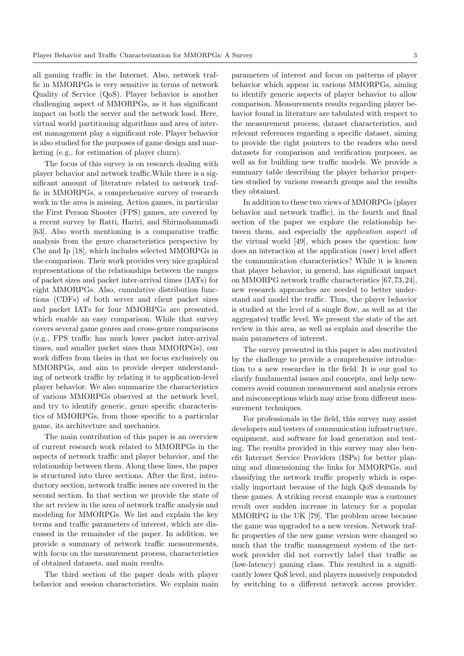all gaming traffic in the Internet. Also, network traffic in MMORPGs is very sensitive in terms of network Quality of Service (QoS). Player behavior is another challenging aspect of MMORPGs, as it has significant impact on both the server and the network load. Here, virtual world partitioning algorithms and area of interest management play a significant role. Player behavior is also studied for the purposes of game design and marketing (e.g., for estimation of player churn).

The focus of this survey is on research dealing with player behavior and network traffic.While there is a significant amount of literature related to network traffic in MMORPGs, a comprehensive survey of research work in the area is missing. Action games, in particular the First Person Shooter (FPS) games, are covered by a recent survey by Ratti, Hariri, and Shirmohammadi [63]. Also worth mentioning is a comparative traffic analysis from the genre characteristics perspective by Che and Ip [18], which includes selected MMORPGs in the comparison. Their work provides very nice graphical representations of the relationships between the ranges of packet sizes and packet inter-arrival times (IATs) for eight MMORPGs. Also, cumulative distribution functions (CDFs) of both server and client packet sizes and packet IATs for four MMORPGs are presented, which enable an easy comparison. While that survey covers several game genres and cross-genre comparisons (e.g., FPS traffic has much lower packet inter-arrival times, and smaller packet sizes than MMORPGs), our work differs from theirs in that we focus exclusively on MMORPGs, and aim to provide deeper understanding of network traffic by relating it to application-level player behavior. We also summarize the characteristics of various MMORPGs observed at the network level, and try to identify generic, genre specific characteristics of MMORPGs, from those specific to a particular game, its architecture and mechanics.

The main contribution of this paper is an overview of current research work related to MMORPGs in the aspects of network traffic and player behavior, and the relationship between them. Along these lines, the paper is structured into three sections. After the first, introductory section, network traffic issues are covered in the second section. In that section we provide the state of the art review in the area of network traffic analysis and modeling for MMORPGs. We list and explain the key terms and traffic parameters of interest, which are discussed in the remainder of the paper. In addition, we provide a summary of network traffic measurements, with focus on the measurement process, characteristics of obtained datasets, and main results.

The third section of the paper deals with player behavior and session characteristics. We explain main parameters of interest and focus on patterns of player behavior which appear in various MMORPGs, aiming to identify generic aspects of player behavior to allow comparison. Measurements results regarding player behavior found in literature are tabulated with respect to the measurement process, dataset characteristics, and relevant references regarding a specific dataset, aiming to provide the right pointers to the readers who need datasets for comparison and verification purposes, as well as for building new traffic models. We provide a summary table describing the player behavior properties studied by various research groups and the results they obtained.

In addition to these two views of MMORPGs (player behavior and network traffic), in the fourth and final section of the paper we explore the relationship between them, and especially the *application aspect* of the virtual world [49], which poses the question: how does an interaction at the application (user) level affect the communication characteristics? While it is known that player behavior, in general, has significant impact on MMORPG network traffic characteristics [67, 73, 24], new research approaches are needed to better understand and model the traffic. Thus, the player behavior is studied at the level of a single flow, as well as at the aggregated traffic level. We present the state of the art review in this area, as well as explain and describe the main parameters of interest.

The survey presented in this paper is also motivated by the challenge to provide a comprehensive introduction to a new researcher in the field. It is our goal to clarify fundamental issues and concepts, and help newcomers avoid common measurement and analysis errors and misconceptions which may arise from different measurement techniques.

For professionals in the field, this survey may assist developers and testers of communication infrastructure, equipment, and software for load generation and testing. The results provided in this survey may also benefit Internet Service Providers (ISPs) for better planning and dimensioning the links for MMORPGs, and classifying the network traffic properly which is especially important because of the high QoS demands by these games. A striking recent example was a customer revolt over sudden increase in latency for a popular MMORPG in the UK [79]. The problem arose because the game was upgraded to a new version. Network traffic properties of the new game version were changed so much that the traffic management system of the network provider did not correctly label that traffic as (low-latency) gaming class. This resulted in a significantly lower QoS level, and players massively responded by switching to a different network access provider.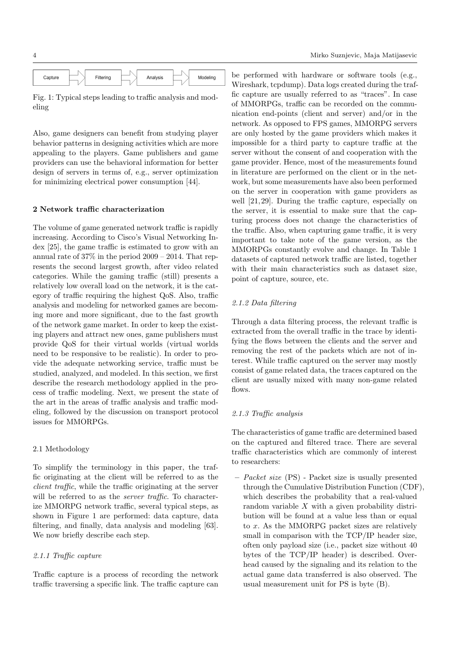

Fig. 1: Typical steps leading to traffic analysis and modeling

Also, game designers can benefit from studying player behavior patterns in designing activities which are more appealing to the players. Game publishers and game providers can use the behavioral information for better design of servers in terms of, e.g., server optimization for minimizing electrical power consumption [44].

### 2 Network traffic characterization

The volume of game generated network traffic is rapidly increasing. According to Cisco's Visual Networking Index [25], the game traffic is estimated to grow with an annual rate of 37% in the period 2009 – 2014. That represents the second largest growth, after video related categories. While the gaming traffic (still) presents a relatively low overall load on the network, it is the category of traffic requiring the highest QoS. Also, traffic analysis and modeling for networked games are becoming more and more significant, due to the fast growth of the network game market. In order to keep the existing players and attract new ones, game publishers must provide QoS for their virtual worlds (virtual worlds need to be responsive to be realistic). In order to provide the adequate networking service, traffic must be studied, analyzed, and modeled. In this section, we first describe the research methodology applied in the process of traffic modeling. Next, we present the state of the art in the areas of traffic analysis and traffic modeling, followed by the discussion on transport protocol issues for MMORPGs.

## 2.1 Methodology

To simplify the terminology in this paper, the traffic originating at the client will be referred to as the client traffic, while the traffic originating at the server will be referred to as the *server traffic*. To characterize MMORPG network traffic, several typical steps, as shown in Figure 1 are performed: data capture, data filtering, and finally, data analysis and modeling [63]. We now briefly describe each step.

## 2.1.1 Traffic capture

Traffic capture is a process of recording the network traffic traversing a specific link. The traffic capture can

be performed with hardware or software tools (e.g., Wireshark, tcpdump). Data logs created during the traffic capture are usually referred to as "traces". In case of MMORPGs, traffic can be recorded on the communication end-points (client and server) and/or in the network. As opposed to FPS games, MMORPG servers are only hosted by the game providers which makes it impossible for a third party to capture traffic at the server without the consent of and cooperation with the game provider. Hence, most of the measurements found in literature are performed on the client or in the network, but some measurements have also been performed on the server in cooperation with game providers as well [21, 29]. During the traffic capture, especially on the server, it is essential to make sure that the capturing process does not change the characteristics of the traffic. Also, when capturing game traffic, it is very important to take note of the game version, as the MMORPGs constantly evolve and change. In Table 1 datasets of captured network traffic are listed, together with their main characteristics such as dataset size, point of capture, source, etc.

## 2.1.2 Data filtering

Through a data filtering process, the relevant traffic is extracted from the overall traffic in the trace by identifying the flows between the clients and the server and removing the rest of the packets which are not of interest. While traffic captured on the server may mostly consist of game related data, the traces captured on the client are usually mixed with many non-game related flows.

## 2.1.3 Traffic analysis

The characteristics of game traffic are determined based on the captured and filtered trace. There are several traffic characteristics which are commonly of interest to researchers:

– Packet size (PS) - Packet size is usually presented through the Cumulative Distribution Function (CDF), which describes the probability that a real-valued random variable  $X$  with a given probability distribution will be found at a value less than or equal to x. As the MMORPG packet sizes are relatively small in comparison with the TCP/IP header size, often only payload size (i.e., packet size without 40 bytes of the TCP/IP header) is described. Overhead caused by the signaling and its relation to the actual game data transferred is also observed. The usual measurement unit for PS is byte (B).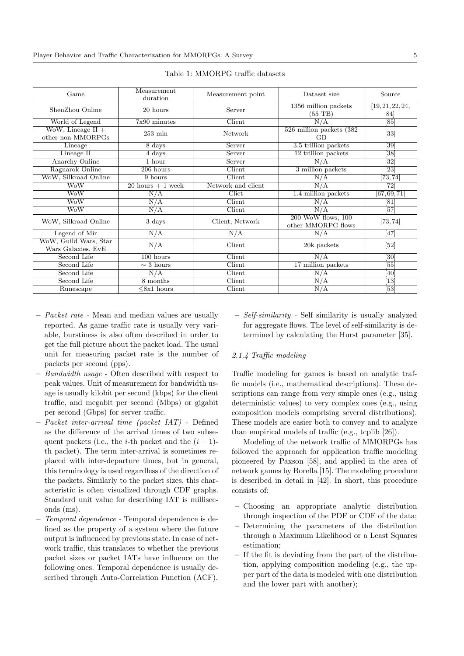| Game                                                       | Measurement<br>duration | Measurement point  | Dataset size                                | Source                  |
|------------------------------------------------------------|-------------------------|--------------------|---------------------------------------------|-------------------------|
| ShenZhou Online                                            | 20 hours                | Server             | $1356$ million packets<br>$(55 \text{ TB})$ | [19, 21, 22, 24,<br>84] |
| World of Legend                                            | 7x90 minutes            | Client             | N/A                                         | $\sqrt{85}$             |
| $\overline{\text{WoW, Lineage II}} +$<br>other non MMORPGs | $253 \text{ min}$       | Network            | $526$ million packets $(382)$<br>GB         | $[33]$                  |
| Lineage                                                    | 8 days                  | Server             | $3.5$ trillion packets                      | [39]                    |
| Lineage II                                                 | 4 days                  | Server             | $\overline{12}$ trillion packets            | $\overline{38}$         |
| Anarchy Online                                             | 1 hour                  | Server             | N/A                                         | [32]                    |
| Ragnarok Online                                            | $206$ hours             | Client             | 3 million packets                           | $\overline{[23]}$       |
| WoW, Silkroad Online                                       | 9 hours                 | Client             | N/A                                         | [73, 74]                |
| <b>WoW</b>                                                 | $20$ hours $+1$ week    | Network and client | N/A                                         | $\overline{72}$         |
| <b>WoW</b>                                                 | N/A                     | Cliet              | $1.4$ million packets                       | [67, 69, 71]            |
| <b>WoW</b>                                                 | N/A                     | Client             | N/A                                         | [81]                    |
| <b>WoW</b>                                                 | N/A                     | Client             | N/A                                         | [57]                    |
| WoW, Silkroad Online                                       | 3 days                  | Client, Network    | 200 WoW flows, 100<br>other MMORPG flows    | [73, 74]                |
| Legend of Mir                                              | N/A                     | N/A                | N/A                                         | [47]                    |
| WoW, Guild Wars, Star<br>Wars Galaxies, EvE                | N/A                     | Client             | 20k packets                                 | $[52]$                  |
| Second Life                                                | $100$ hours             | Client             | N/A                                         | $\left[30\right]$       |
| Second Life                                                | $\sim$ 3 hours          | Client             | 17 million packets                          | $\sqrt{55}$             |
| Second Life                                                | N/A                     | Client             | N/A                                         | [40]                    |
| Second Life                                                | $8$ months              | Client             | N/A                                         | $\left[ 13\right]$      |
| Runescape                                                  | $<8x1$ hours            | Client             | N/A                                         | $[\overline{53}]$       |

Table 1: MMORPG traffic datasets

- Packet rate Mean and median values are usually reported. As game traffic rate is usually very variable, burstiness is also often described in order to get the full picture about the packet load. The usual unit for measuring packet rate is the number of packets per second (pps).
- Bandwidth usage Often described with respect to peak values. Unit of measurement for bandwidth usage is usually kilobit per second (kbps) for the client traffic, and megabit per second (Mbps) or gigabit per second (Gbps) for server traffic.
- Packet inter-arrival time (packet IAT) Defined as the difference of the arrival times of two subsequent packets (i.e., the *i*-th packet and the  $(i - 1)$ th packet). The term inter-arrival is sometimes replaced with inter-departure times, but in general, this terminology is used regardless of the direction of the packets. Similarly to the packet sizes, this characteristic is often visualized through CDF graphs. Standard unit value for describing IAT is milliseconds (ms).
- Temporal dependence Temporal dependence is defined as the property of a system where the future output is influenced by previous state. In case of network traffic, this translates to whether the previous packet sizes or packet IATs have influence on the following ones. Temporal dependence is usually described through Auto-Correlation Function (ACF).

– Self-similarity - Self similarity is usually analyzed for aggregate flows. The level of self-similarity is determined by calculating the Hurst parameter [35].

## 2.1.4 Traffic modeling

Traffic modeling for games is based on analytic traffic models (i.e., mathematical descriptions). These descriptions can range from very simple ones (e.g., using deterministic values) to very complex ones (e.g., using composition models comprising several distributions). These models are easier both to convey and to analyze than empirical models of traffic (e.g., tcplib [26]).

Modeling of the network traffic of MMORPGs has followed the approach for application traffic modeling pioneered by Paxson [58], and applied in the area of network games by Borella [15]. The modeling procedure is described in detail in [42]. In short, this procedure consists of:

- Choosing an appropriate analytic distribution through inspection of the PDF or CDF of the data;
- Determining the parameters of the distribution through a Maximum Likelihood or a Least Squares estimation;
- If the fit is deviating from the part of the distribution, applying composition modeling (e.g., the upper part of the data is modeled with one distribution and the lower part with another);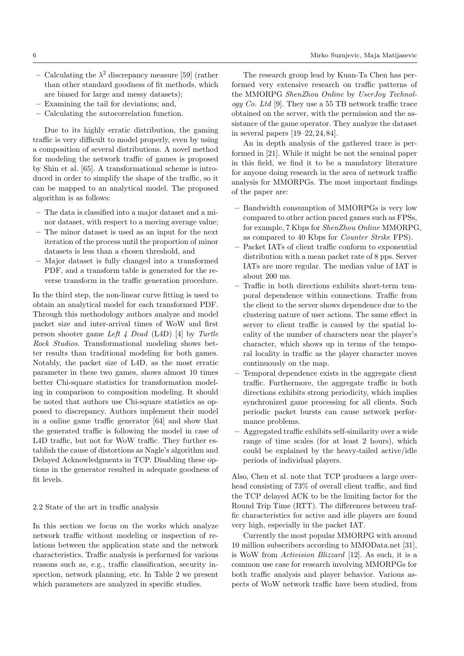- Calculating the  $\lambda^2$  discrepancy measure [59] (rather than other standard goodness of fit methods, which are biased for large and messy datasets);
- Examining the tail for deviations; and,
- Calculating the autocorrelation function.

Due to its highly erratic distribution, the gaming traffic is very difficult to model properly, even by using a composition of several distributions. A novel method for modeling the network traffic of games is proposed by Shin et al. [65]. A transformational scheme is introduced in order to simplify the shape of the traffic, so it can be mapped to an analytical model. The proposed algorithm is as follows:

- The data is classified into a major dataset and a minor dataset, with respect to a moving average value;
- The minor dataset is used as an input for the next iteration of the process until the proportion of minor datasets is less than a chosen threshold, and
- Major dataset is fully changed into a transformed PDF, and a transform table is generated for the reverse transform in the traffic generation procedure.

In the third step, the non-linear curve fitting is used to obtain an analytical model for each transformed PDF. Through this methodology authors analyze and model packet size and inter-arrival times of WoW and first person shooter game Left 4 Dead (L4D) [4] by Turtle Rock Studios. Transformational modeling shows better results than traditional modeling for both games. Notably, the packet size of L4D, as the most erratic parameter in these two games, shows almost 10 times better Chi-square statistics for transformation modeling in comparison to composition modeling. It should be noted that authors use Chi-square statistics as opposed to discrepancy. Authors implement their model in a online game traffic generator [64] and show that the generated traffic is following the model in case of L4D traffic, but not for WoW traffic. They further establish the cause of distortions as Nagle's algorithm and Delayed Acknowledgments in TCP. Disabling these options in the generator resulted in adequate goodness of fit levels.

## 2.2 State of the art in traffic analysis

In this section we focus on the works which analyze network traffic without modeling or inspection of relations between the application state and the network characteristics. Traffic analysis is performed for various reasons such as, e.g., traffic classification, security inspection, network planning, etc. In Table 2 we present which parameters are analyzed in specific studies.

The research group lead by Kuan-Ta Chen has performed very extensive research on traffic patterns of the MMORPG ShenZhou Online by UserJoy Technology Co. Ltd [9]. They use a 55 TB network traffic trace obtained on the server, with the permission and the assistance of the game operator. They analyze the dataset in several papers [19–22, 24, 84].

An in depth analysis of the gathered trace is performed in [21]. While it might be not the seminal paper in this field, we find it to be a mandatory literature for anyone doing research in the area of network traffic analysis for MMORPGs. The most important findings of the paper are:

- Bandwidth consumption of MMORPGs is very low compared to other action paced games such as FPSs, for example, 7 Kbps for ShenZhou Online MMORPG, as compared to 40 Kbps for Counter Strike FPS).
- Packet IATs of client traffic conform to exponential distribution with a mean packet rate of 8 pps. Server IATs are more regular. The median value of IAT is about 200 ms.
- Traffic in both directions exhibits short-term temporal dependence within connections. Traffic from the client to the server shows dependence due to the clustering nature of user actions. The same effect in server to client traffic is caused by the spatial locality of the number of characters near the player's character, which shows up in terms of the temporal locality in traffic as the player character moves continuously on the map.
- Temporal dependence exists in the aggregate client traffic. Furthermore, the aggregate traffic in both directions exhibits strong periodicity, which implies synchronized game processing for all clients. Such periodic packet bursts can cause network performance problems.
- Aggregated traffic exhibits self-similarity over a wide range of time scales (for at least 2 hours), which could be explained by the heavy-tailed active/idle periods of individual players.

Also, Chen et al. note that TCP produces a large overhead consisting of 73% of overall client traffic, and find the TCP delayed ACK to be the limiting factor for the Round Trip Time (RTT). The differences between traffic characteristics for active and idle players are found very high, especially in the packet IAT.

Currently the most popular MMORPG with around 10 million subscribers according to MMOData.net [31], is WoW from Activision Blizzard [12]. As such, it is a common use case for research involving MMORPGs for both traffic analysis and player behavior. Various aspects of WoW network traffic have been studied, from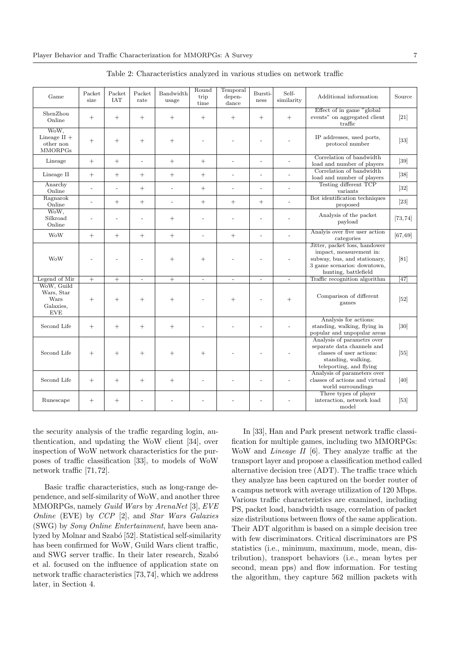| Game                                                        | Packet<br>size | Packet<br><b>IAT</b>     | Packet<br>rate           | Bandwidth<br>usage | Round<br>trip<br>time    | Temporal<br>depen-<br>dance | Bursti-<br>ness          | Self-<br>similarity      | Additional information                                                                                                                          | Source   |
|-------------------------------------------------------------|----------------|--------------------------|--------------------------|--------------------|--------------------------|-----------------------------|--------------------------|--------------------------|-------------------------------------------------------------------------------------------------------------------------------------------------|----------|
| ShenZhou<br>Online                                          | $+$            | $^{+}$                   | $^{+}$                   | $^{+}$             | $^{+}$                   | $^{+}$                      | $^{+}$                   | $^{+}$                   | Effect of in game "global"<br>events" on aggregated client<br>traffic                                                                           | $[21]$   |
| WoW,<br>Lineage $II +$<br>other non<br><b>MMORPGs</b>       | $+$            | $^{+}$                   | $^{+}$                   | $^{+}$             |                          |                             | ٠                        |                          | IP addresses, used ports,<br>protocol number                                                                                                    | $[33]$   |
| Lineage                                                     | $^{+}$         | $+$                      | $\bar{\phantom{a}}$      | $^{+}$             | $^{+}$                   | $\overline{\phantom{a}}$    | $\overline{\phantom{a}}$ | $\overline{\phantom{a}}$ | Correlation of bandwidth<br>load and number of players                                                                                          | $[39]$   |
| Lineage II                                                  | $+$            | $^{+}$                   | $^{+}$                   | $^{+}$             | $^{+}$                   | ÷.                          | $\overline{\phantom{a}}$ | $\overline{\phantom{a}}$ | Correlation of bandwidth<br>load and number of players                                                                                          | $[38]$   |
| Anarchy<br>Online                                           | ä,             | $\overline{\phantom{a}}$ | $^{+}$                   | ÷,                 | $^{+}$                   | $\overline{\phantom{a}}$    | ÷,                       | $\sim$                   | Testing different TCP<br>variants                                                                                                               | $[32]$   |
| Ragnarok<br>Online                                          | ÷,             | $^{+}$                   | $^{+}$                   | ÷,                 | $^{+}$                   | $^{+}$                      | $^{+}$                   | $\bar{a}$                | Bot identification techniques<br>proposed                                                                                                       | $[23]$   |
| WoW,<br>Silkroad<br>Online                                  | ÷              | $\sim$                   | L,                       | $^{+}$             | ä,                       |                             | $\overline{\phantom{a}}$ |                          | Analysis of the packet<br>payload                                                                                                               | [73, 74] |
| <b>WoW</b>                                                  | $^{+}$         | $^{+}$                   | $^{+}$                   | $^{+}$             | ÷,                       | $^{+}$                      | ÷,                       | ÷,                       | Analyis over five user action<br>categories                                                                                                     | [67, 69] |
| WoW                                                         |                |                          |                          | $^{+}$             | $^{+}$                   |                             |                          |                          | Jitter, packet loss, handower<br>impact, measurement in:<br>subway, bus, and stationary,<br>3 game scenarios: downtown,<br>hunting, battlefield | [81]     |
| Legend of Mir                                               | $^{+}$         | $^{+}$                   | $\overline{\phantom{a}}$ | $+$                | $\overline{\phantom{a}}$ | $\blacksquare$              | $\overline{\phantom{a}}$ | $\overline{\phantom{a}}$ | Traffic recognition algorithm                                                                                                                   | $[47]$   |
| WoW, Guild<br>Wars, Star<br>Wars<br>Galaxies,<br><b>EVE</b> | $+$            | $^{+}$                   | $^{+}$                   | $^{+}$             |                          | $^{+}$                      |                          | $^{+}$                   | Comparison of different<br>games                                                                                                                | $[52]$   |
| Second Life                                                 | $+$            | $+$                      | $+$                      | $^{+}$             |                          |                             |                          |                          | Analysis for actions:<br>standing, walking, flying in<br>popular and unpopular areas                                                            | $[30]$   |
| Second Life                                                 | $^{+}$         | $^{+}$                   | $^{+}$                   | $^{+}$             | $^{+}$                   |                             |                          |                          | Analysis of parametrs over<br>separate data channels and<br>classes of user actions:<br>standing, walking,<br>teleporting, and flying           | $[55]$   |
| Second Life                                                 | $^{+}$         | $^{+}$                   | $^{+}$                   | $^{+}$             | ÷,                       |                             | ä,                       | ä,                       | Analysis of parameters over<br>classes of actions and virtual<br>world surroundings                                                             | [40]     |
| Runescape                                                   | $^{+}$         | $^{+}$                   |                          |                    |                          |                             |                          |                          | Three types of player<br>interaction, network load<br>model                                                                                     | $[53]$   |

Table 2: Characteristics analyzed in various studies on network traffic

the security analysis of the traffic regarding login, authentication, and updating the WoW client [34], over inspection of WoW network characteristics for the purposes of traffic classification [33], to models of WoW network traffic [71, 72].

Basic traffic characteristics, such as long-range dependence, and self-similarity of WoW, and another three MMORPGs, namely Guild Wars by ArenaNet [3], EVE Online (EVE) by CCP [2], and Star Wars Galaxies (SWG) by Sony Online Entertainment, have been analyzed by Molnar and Szabó [52]. Statistical self-similarity has been confirmed for WoW, Guild Wars client traffic, and SWG server traffic. In their later research, Szabó et al. focused on the influence of application state on network traffic characteristics [73, 74], which we address later, in Section 4.

In [33], Han and Park present network traffic classification for multiple games, including two MMORPGs: WoW and Lineage II [6]. They analyze traffic at the transport layer and propose a classification method called alternative decision tree (ADT). The traffic trace which they analyze has been captured on the border router of a campus network with average utilization of 120 Mbps. Various traffic characteristics are examined, including PS, packet load, bandwidth usage, correlation of packet size distributions between flows of the same application. Their ADT algorithm is based on a simple decision tree with few discriminators. Critical discriminators are PS statistics (i.e., minimum, maximum, mode, mean, distribution), transport behaviors (i.e., mean bytes per second, mean pps) and flow information. For testing the algorithm, they capture 562 million packets with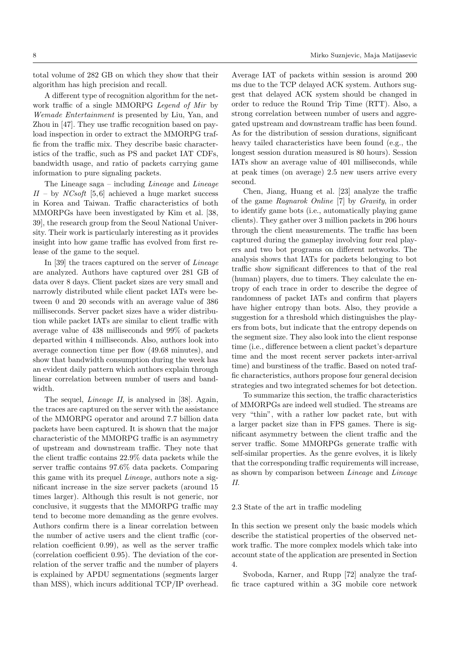total volume of 282 GB on which they show that their algorithm has high precision and recall.

A different type of recognition algorithm for the network traffic of a single MMORPG Legend of Mir by Wemade Entertainment is presented by Liu, Yan, and Zhou in [47]. They use traffic recognition based on payload inspection in order to extract the MMORPG traffic from the traffic mix. They describe basic characteristics of the traffic, such as PS and packet IAT CDFs, bandwidth usage, and ratio of packets carrying game information to pure signaling packets.

The Lineage saga – including *Lineage* and *Lineage*  $II - by NCsoft [5, 6]$  achieved a huge market success in Korea and Taiwan. Traffic characteristics of both MMORPGs have been investigated by Kim et al. [38, 39], the research group from the Seoul National University. Their work is particularly interesting as it provides insight into how game traffic has evolved from first release of the game to the sequel.

In [39] the traces captured on the server of Lineage are analyzed. Authors have captured over 281 GB of data over 8 days. Client packet sizes are very small and narrowly distributed while client packet IATs were between 0 and 20 seconds with an average value of 386 milliseconds. Server packet sizes have a wider distribution while packet IATs are similar to client traffic with average value of 438 milliseconds and 99% of packets departed within 4 milliseconds. Also, authors look into average connection time per flow (49.68 minutes), and show that bandwidth consumption during the week has an evident daily pattern which authors explain through linear correlation between number of users and bandwidth.

The sequel, *Lineage II*, is analysed in [38]. Again, the traces are captured on the server with the assistance of the MMORPG operator and around 7.7 billion data packets have been captured. It is shown that the major characteristic of the MMORPG traffic is an asymmetry of upstream and downstream traffic. They note that the client traffic contains 22.9% data packets while the server traffic contains 97.6% data packets. Comparing this game with its prequel Lineage, authors note a significant increase in the size server packets (around 15 times larger). Although this result is not generic, nor conclusive, it suggests that the MMORPG traffic may tend to become more demanding as the genre evolves. Authors confirm there is a linear correlation between the number of active users and the client traffic (correlation coefficient 0.99), as well as the server traffic (correlation coefficient 0.95). The deviation of the correlation of the server traffic and the number of players is explained by APDU segmentations (segments larger than MSS), which incurs additional TCP/IP overhead.

Average IAT of packets within session is around 200 ms due to the TCP delayed ACK system. Authors suggest that delayed ACK system should be changed in order to reduce the Round Trip Time (RTT). Also, a strong correlation between number of users and aggregated upstream and downstream traffic has been found. As for the distribution of session durations, significant heavy tailed characteristics have been found (e.g., the longest session duration measured is 80 hours). Session IATs show an average value of 401 milliseconds, while at peak times (on average) 2.5 new users arrive every second.

Chen, Jiang, Huang et al. [23] analyze the traffic of the game Ragnarok Online [7] by Gravity, in order to identify game bots (i.e., automatically playing game clients). They gather over 3 million packets in 206 hours through the client measurements. The traffic has been captured during the gameplay involving four real players and two bot programs on different networks. The analysis shows that IATs for packets belonging to bot traffic show significant differences to that of the real (human) players, due to timers. They calculate the entropy of each trace in order to describe the degree of randomness of packet IATs and confirm that players have higher entropy than bots. Also, they provide a suggestion for a threshold which distinguishes the players from bots, but indicate that the entropy depends on the segment size. They also look into the client response time (i.e., difference between a client packet's departure time and the most recent server packets inter-arrival time) and burstiness of the traffic. Based on noted traffic characteristics, authors propose four general decision strategies and two integrated schemes for bot detection.

To summarize this section, the traffic characteristics of MMORPGs are indeed well studied. The streams are very "thin", with a rather low packet rate, but with a larger packet size than in FPS games. There is significant asymmetry between the client traffic and the server traffic. Some MMORPGs generate traffic with self-similar properties. As the genre evolves, it is likely that the corresponding traffic requirements will increase, as shown by comparison between Lineage and Lineage II.

### 2.3 State of the art in traffic modeling

In this section we present only the basic models which describe the statistical properties of the observed network traffic. The more complex models which take into account state of the application are presented in Section 4.

Svoboda, Karner, and Rupp [72] analyze the traffic trace captured within a 3G mobile core network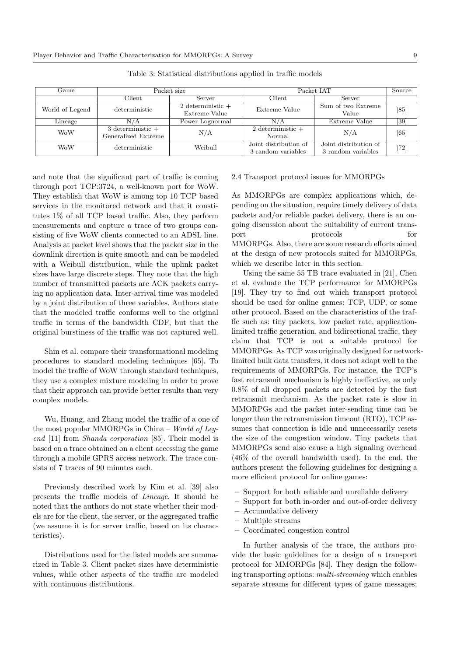| Game            |                                              | Packet size                          | Packet IAT                                  | Source                                      |                 |
|-----------------|----------------------------------------------|--------------------------------------|---------------------------------------------|---------------------------------------------|-----------------|
|                 | Client                                       | Server                               | Client                                      | Server                                      |                 |
| World of Legend | deterministic                                | 2 deterministic $+$<br>Extreme Value | Extreme Value                               | Sum of two Extreme<br>Value                 | [85]            |
| Lineage         | N/A                                          | Power Lognormal                      | N/A                                         | Extreme Value                               | $\overline{39}$ |
| <b>WoW</b>      | $3$ deterministic $+$<br>Generalized Extreme | N/A                                  | 2 deterministic $+$<br>Normal               | N/A                                         | [65]            |
| <b>WoW</b>      | deterministic                                | Weibull                              | Joint distribution of<br>3 random variables | Joint distribution of<br>3 random variables | $[72]$          |

Table 3: Statistical distributions applied in traffic models

and note that the significant part of traffic is coming through port TCP:3724, a well-known port for WoW. They establish that WoW is among top 10 TCP based services in the monitored network and that it constitutes 1% of all TCP based traffic. Also, they perform measurements and capture a trace of two groups consisting of five WoW clients connected to an ADSL line. Analysis at packet level shows that the packet size in the downlink direction is quite smooth and can be modeled with a Weibull distribution, while the uplink packet sizes have large discrete steps. They note that the high number of transmitted packets are ACK packets carrying no application data. Inter-arrival time was modeled by a joint distribution of three variables. Authors state that the modeled traffic conforms well to the original traffic in terms of the bandwidth CDF, but that the original burstiness of the traffic was not captured well.

Shin et al. compare their transformational modeling procedures to standard modeling techniques [65]. To model the traffic of WoW through standard techniques, they use a complex mixture modeling in order to prove that their approach can provide better results than very complex models.

Wu, Huang, and Zhang model the traffic of a one of the most popular MMORPGs in China – World of Legend [11] from Shanda corporation [85]. Their model is based on a trace obtained on a client accessing the game through a mobile GPRS access network. The trace consists of 7 traces of 90 minutes each.

Previously described work by Kim et al. [39] also presents the traffic models of Lineage. It should be noted that the authors do not state whether their models are for the client, the server, or the aggregated traffic (we assume it is for server traffic, based on its characteristics).

Distributions used for the listed models are summarized in Table 3. Client packet sizes have deterministic values, while other aspects of the traffic are modeled with continuous distributions.

## 2.4 Transport protocol issues for MMORPGs

As MMORPGs are complex applications which, depending on the situation, require timely delivery of data packets and/or reliable packet delivery, there is an ongoing discussion about the suitability of current transport protocols for MMORPGs. Also, there are some research efforts aimed at the design of new protocols suited for MMORPGs, which we describe later in this section.

Using the same 55 TB trace evaluated in [21], Chen et al. evaluate the TCP performance for MMORPGs [19]. They try to find out which transport protocol should be used for online games: TCP, UDP, or some other protocol. Based on the characteristics of the traffic such as: tiny packets, low packet rate, applicationlimited traffic generation, and bidirectional traffic, they claim that TCP is not a suitable protocol for MMORPGs. As TCP was originally designed for networklimited bulk data transfers, it does not adapt well to the requirements of MMORPGs. For instance, the TCP's fast retransmit mechanism is highly ineffective, as only 0.8% of all dropped packets are detected by the fast retransmit mechanism. As the packet rate is slow in MMORPGs and the packet inter-sending time can be longer than the retransmission timeout (RTO), TCP assumes that connection is idle and unnecessarily resets the size of the congestion window. Tiny packets that MMORPGs send also cause a high signaling overhead (46% of the overall bandwidth used). In the end, the authors present the following guidelines for designing a more efficient protocol for online games:

- Support for both reliable and unreliable delivery
- Support for both in-order and out-of-order delivery
- Accumulative delivery
- Multiple streams
- Coordinated congestion control

In further analysis of the trace, the authors provide the basic guidelines for a design of a transport protocol for MMORPGs [84]. They design the following transporting options: multi-streaming which enables separate streams for different types of game messages;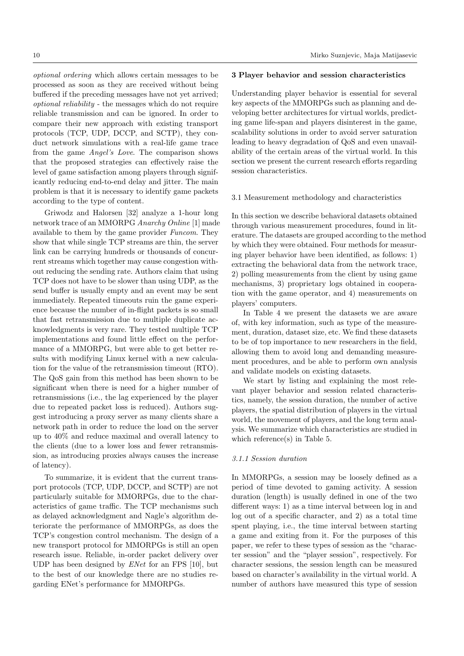optional ordering which allows certain messages to be processed as soon as they are received without being buffered if the preceding messages have not yet arrived; optional reliability - the messages which do not require reliable transmission and can be ignored. In order to compare their new approach with existing transport protocols (TCP, UDP, DCCP, and SCTP), they conduct network simulations with a real-life game trace from the game Angel's Love. The comparison shows that the proposed strategies can effectively raise the level of game satisfaction among players through significantly reducing end-to-end delay and jitter. The main problem is that it is necessary to identify game packets according to the type of content.

Griwodz and Halorsen [32] analyze a 1-hour long network trace of an MMORPG Anarchy Online [1] made available to them by the game provider Funcom. They show that while single TCP streams are thin, the server link can be carrying hundreds or thousands of concurrent streams which together may cause congestion without reducing the sending rate. Authors claim that using TCP does not have to be slower than using UDP, as the send buffer is usually empty and an event may be sent immediately. Repeated timeouts ruin the game experience because the number of in-flight packets is so small that fast retransmission due to multiple duplicate acknowledgments is very rare. They tested multiple TCP implementations and found little effect on the performance of a MMORPG, but were able to get better results with modifying Linux kernel with a new calculation for the value of the retransmission timeout (RTO). The QoS gain from this method has been shown to be significant when there is need for a higher number of retransmissions (i.e., the lag experienced by the player due to repeated packet loss is reduced). Authors suggest introducing a proxy server as many clients share a network path in order to reduce the load on the server up to 40% and reduce maximal and overall latency to the clients (due to a lower loss and fewer retransmission, as introducing proxies always causes the increase of latency).

To summarize, it is evident that the current transport protocols (TCP, UDP, DCCP, and SCTP) are not particularly suitable for MMORPGs, due to the characteristics of game traffic. The TCP mechanisms such as delayed acknowledgment and Nagle's algorithm deteriorate the performance of MMORPGs, as does the TCP's congestion control mechanism. The design of a new transport protocol for MMORPGs is still an open research issue. Reliable, in-order packet delivery over UDP has been designed by  $ENet$  for an FPS [10], but to the best of our knowledge there are no studies regarding ENet's performance for MMORPGs.

#### 3 Player behavior and session characteristics

Understanding player behavior is essential for several key aspects of the MMORPGs such as planning and developing better architectures for virtual worlds, predicting game life-span and players disinterest in the game, scalability solutions in order to avoid server saturation leading to heavy degradation of QoS and even unavailability of the certain areas of the virtual world. In this section we present the current research efforts regarding session characteristics.

### 3.1 Measurement methodology and characteristics

In this section we describe behavioral datasets obtained through various measurement procedures, found in literature. The datasets are grouped according to the method by which they were obtained. Four methods for measuring player behavior have been identified, as follows: 1) extracting the behavioral data from the network trace, 2) polling measurements from the client by using game mechanisms, 3) proprietary logs obtained in cooperation with the game operator, and 4) measurements on players' computers.

In Table 4 we present the datasets we are aware of, with key information, such as type of the measurement, duration, dataset size, etc. We find these datasets to be of top importance to new researchers in the field, allowing them to avoid long and demanding measurement procedures, and be able to perform own analysis and validate models on existing datasets.

We start by listing and explaining the most relevant player behavior and session related characteristics, namely, the session duration, the number of active players, the spatial distribution of players in the virtual world, the movement of players, and the long term analysis. We summarize which characteristics are studied in which reference(s) in Table 5.

#### 3.1.1 Session duration

In MMORPGs, a session may be loosely defined as a period of time devoted to gaming activity. A session duration (length) is usually defined in one of the two different ways: 1) as a time interval between log in and log out of a specific character, and 2) as a total time spent playing, i.e., the time interval between starting a game and exiting from it. For the purposes of this paper, we refer to these types of session as the "character session" and the "player session", respectively. For character sessions, the session length can be measured based on character's availability in the virtual world. A number of authors have measured this type of session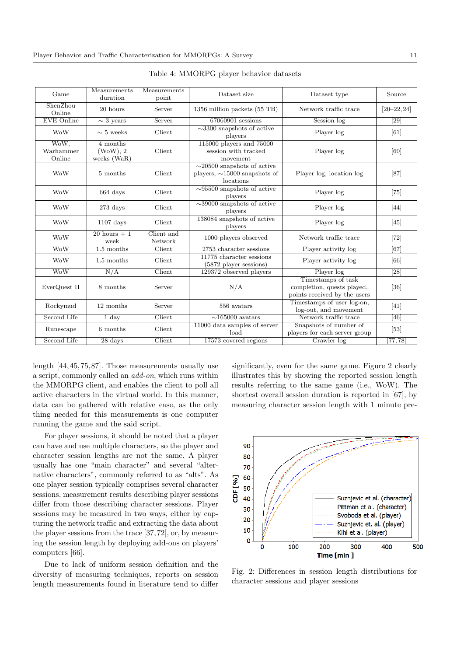| Game                        | Measurements<br>duration               | Measurements<br>point | Dataset size                                                                        | Dataset type                                                                     | Source          |
|-----------------------------|----------------------------------------|-----------------------|-------------------------------------------------------------------------------------|----------------------------------------------------------------------------------|-----------------|
| ShenZhou<br>Online          | 20 hours                               | Server                | 1356 million packets (55 TB)                                                        | Network traffic trace                                                            | $[20 - 22, 24]$ |
| <b>EVE</b> Online           | $\sim$ 3 years                         | Server                | 67060901 sessions                                                                   | Session log                                                                      | $[29]$          |
| <b>WoW</b>                  | $\sim$ 5 weeks                         | Client                | $\sim$ 3300 snapshots of active<br>players                                          | Player log                                                                       | [61]            |
| WoW,<br>Warhammer<br>Online | 4 months<br>$(WoW)$ , 2<br>weeks (WaR) | Client                | 115000 players and 75000<br>session with tracked<br>movement                        | Player log                                                                       | [60]            |
| <b>WoW</b>                  | 5 months                               | Client                | $\sim$ 20500 snapshots of active<br>players, $\sim$ 15000 snapshots of<br>locations | Player log, location log                                                         | $[87]$          |
| <b>WoW</b>                  | 664 days                               | Client                | $\sim$ 95500 snapshots of active<br>players                                         | Player log                                                                       | $[75]$          |
| <b>WoW</b>                  | $273 \text{ days}$                     | Client                | $\sim$ 39000 snapshots of active<br>players                                         | Player log                                                                       | [44]            |
| <b>WoW</b>                  | $1107$ days                            | Client                | 138084 snapshots of active<br>players                                               | Player log                                                                       | $[45]$          |
| <b>WoW</b>                  | $\sqrt{20 \text{ hours} + 1}$<br>week  | Client and<br>Network | 1000 players observed                                                               | Network traffic trace                                                            | $[72]$          |
| <b>WoW</b>                  | $1.5$ months                           | Client                | 2753 character sessions                                                             | Player activity log                                                              | [67]            |
| <b>WoW</b>                  | 1.5 months                             | Client                | 11775 character sessions<br>$(5872)$ player sessions)                               | Player activity log                                                              | [66]            |
| <b>WoW</b>                  | N/A                                    | Client                | 129372 observed players                                                             | Player log                                                                       | $[28]$          |
| EverQuest II                | 8 months                               | Server                | N/A                                                                                 | Timestamps of task<br>completion, quests played,<br>points received by the users | [36]            |
| Rockymud                    | 12 months                              | Server                | 556 avatars                                                                         | Timestamps of user log-on,<br>log-out, and movement                              | [41]            |
| Second Life                 | $1 \mathrm{day}$                       | Client                | $\sim$ 165000 avatars                                                               | Network traffic trace                                                            | [46]            |
| Runescape                   | 6 months                               | Client                | 11000 data samples of server<br>load                                                | Snapshots of number of<br>players for each server group                          | $[53]$          |
| Second Life                 | 28 days                                | $C$ lient             | 17573 covered regions                                                               | Crawler log                                                                      | [77, 78]        |

Table 4: MMORPG player behavior datasets

length [44, 45, 75, 87]. Those measurements usually use a script, commonly called an add-on, which runs within the MMORPG client, and enables the client to poll all active characters in the virtual world. In this manner, data can be gathered with relative ease, as the only thing needed for this measurements is one computer running the game and the said script.

For player sessions, it should be noted that a player can have and use multiple characters, so the player and character session lengths are not the same. A player usually has one "main character" and several "alternative characters", commonly referred to as "alts". As one player session typically comprises several character sessions, measurement results describing player sessions differ from those describing character sessions. Player sessions may be measured in two ways, either by capturing the network traffic and extracting the data about the player sessions from the trace [37, 72], or, by measuring the session length by deploying add-ons on players' computers [66].

Due to lack of uniform session definition and the diversity of measuring techniques, reports on session length measurements found in literature tend to differ

significantly, even for the same game. Figure 2 clearly illustrates this by showing the reported session length results referring to the same game (i.e., WoW). The shortest overall session duration is reported in [67], by measuring character session length with 1 minute pre-



Fig. 2: Differences in session length distributions for character sessions and player sessions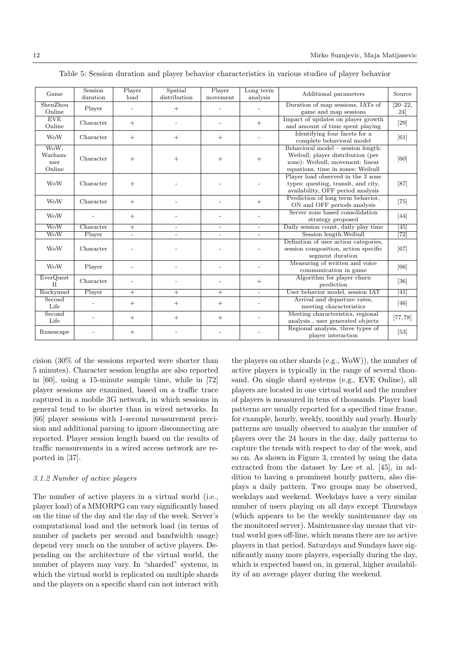| Game                             | Session<br>duration | Player<br>load           | Spatial<br>distribution | Player<br>movement | Long term<br>analysis | Additional parameters                                                                                                                            | Source            |
|----------------------------------|---------------------|--------------------------|-------------------------|--------------------|-----------------------|--------------------------------------------------------------------------------------------------------------------------------------------------|-------------------|
| ShenZhou<br>Online               | Player              |                          | $^{+}$                  |                    |                       | Duration of map sessions, IATs of<br>game and map sessions                                                                                       | $[20-22,$<br>24]  |
| <b>EVE</b><br>Online             | Character           | $^{+}$                   |                         |                    | $^{+}$                | Impact of updates on player growth<br>and amount of time spent playing                                                                           | $[29]$            |
| <b>WoW</b>                       | Character           | $+$                      | $^{+}$                  | $+$                |                       | Identifying four facets for a<br>complete behavioral model                                                                                       | [61]              |
| WoW,<br>Warham-<br>mer<br>Online | Character           | $^{+}$                   | $^{+}$                  | $^{+}$             | $^+$                  | Behavioral model – session length:<br>Weibull, player distribution (per<br>zone): Weibull, movement: linear<br>equations, time in zones: Weibull | [60]              |
| WoW                              | Character           | $+$                      |                         |                    |                       | Player load observed in the 3 zone<br>types: questing, transit, and city,<br>availability, OFF period analysis                                   | $[87]$            |
| <b>WoW</b>                       | Character           | $^{+}$                   |                         |                    | $^{+}$                | Prediction of long term behavior,<br>ON and OFF periods analysis                                                                                 | $[75]$            |
| WoW                              |                     | $+$                      |                         |                    |                       | Server zone based consolidation<br>strategy proposed                                                                                             | $[44]$            |
| WoW                              | Character           | $^{+}$                   |                         |                    |                       | Daily session count, daily play time                                                                                                             | [45]              |
| WoW                              | Player              | $\overline{\phantom{a}}$ |                         |                    |                       | Session length: Weibull                                                                                                                          | $\overline{[72]}$ |
| <b>WoW</b>                       | Character           |                          |                         |                    |                       | Definition of user action categories,<br>session composition, action specific<br>segment duration                                                | [67]              |
| <b>WoW</b>                       | Player              |                          |                         |                    |                       | Measuring of written and voice<br>communication in game                                                                                          | [66]              |
| EverQuest<br>$\mathbf{H}$        | Character           |                          |                         |                    | $^{+}$                | Algorithm for player churn<br>prediction                                                                                                         | $[36]$            |
| Rockymud                         | Player              | $+$                      | $^{+}$                  | $^{+}$             | $\sim$                | User behavior model, session IAT                                                                                                                 | $\overline{[41]}$ |
| Second<br>Life                   |                     | $+$                      | $^{+}$                  | $^{+}$             |                       | Arrival and departure rates,<br>meeting characteristics                                                                                          | $[46]$            |
| Second<br>Life                   |                     | $+$                      | $^{+}$                  | $+$                |                       | Meeting characteristics, regional<br>analysis, user generated objects                                                                            | [77, 78]          |
| Runescape                        |                     | $^{+}$                   |                         |                    |                       | Regional analysis, three types of<br>player interaction                                                                                          | $[53]$            |

Table 5: Session duration and player behavior characteristics in various studies of player behavior

cision (30% of the sessions reported were shorter than 5 minutes). Character session lengths are also reported in [60], using a 15-minute sample time, while in [72] player sessions are examined, based on a traffic trace captured in a mobile 3G network, in which sessions in general tend to be shorter than in wired networks. In [66] player sessions with 1-second measurement precision and additional parsing to ignore disconnecting are reported. Player session length based on the results of traffic measurements in a wired access network are reported in [37].

## 3.1.2 Number of active players

The number of active players in a virtual world (i.e., player load) of a MMORPG can vary significantly based on the time of the day and the day of the week. Server's computational load and the network load (in terms of number of packets per second and bandwidth usage) depend very much on the number of active players. Depending on the architecture of the virtual world, the number of players may vary. In "sharded" systems, in which the virtual world is replicated on multiple shards and the players on a specific shard can not interact with

the players on other shards (e.g., WoW)), the number of active players is typically in the range of several thousand. On single shard systems (e.g., EVE Online), all players are located in one virtual world and the number of players is measured in tens of thousands. Player load patterns are usually reported for a specified time frame, for example, hourly, weekly, monthly and yearly. Hourly patterns are usually observed to analyze the number of players over the 24 hours in the day, daily patterns to capture the trends with respect to day of the week, and so on. As shown in Figure 3, created by using the data extracted from the dataset by Lee et al. [45], in addition to having a prominent hourly pattern, also displays a daily pattern. Two groups may be observed, weekdays and weekend. Weekdays have a very similar number of users playing on all days except Thursdays (which appears to be the weekly maintenance day on the monitored server). Maintenance day means that virtual world goes off-line, which means there are no active players in that period. Saturdays and Sundays have significantly many more players, especially during the day, which is expected based on, in general, higher availability of an average player during the weekend.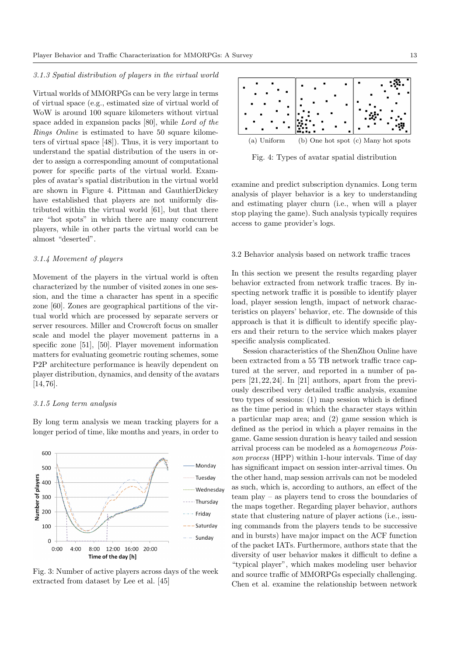#### 3.1.3 Spatial distribution of players in the virtual world

Virtual worlds of MMORPGs can be very large in terms of virtual space (e.g., estimated size of virtual world of WoW is around 100 square kilometers without virtual space added in expansion packs [80], while Lord of the Rings Online is estimated to have 50 square kilometers of virtual space [48]). Thus, it is very important to understand the spatial distribution of the users in order to assign a corresponding amount of computational power for specific parts of the virtual world. Examples of avatar's spatial distribution in the virtual world are shown in Figure 4. Pittman and GauthierDickey have established that players are not uniformly distributed within the virtual world [61], but that there are "hot spots" in which there are many concurrent players, while in other parts the virtual world can be almost "deserted".

## 3.1.4 Movement of players

Movement of the players in the virtual world is often characterized by the number of visited zones in one session, and the time a character has spent in a specific zone [60]. Zones are geographical partitions of the virtual world which are processed by separate servers or server resources. Miller and Crowcroft focus on smaller scale and model the player movement patterns in a specific zone [51], [50]. Player movement information matters for evaluating geometric routing schemes, some P2P architecture performance is heavily dependent on player distribution, dynamics, and density of the avatars [14, 76].

## 3.1.5 Long term analysis

By long term analysis we mean tracking players for a longer period of time, like months and years, in order to



Fig. 3: Number of active players across days of the week extracted from dataset by Lee et al. [45]



Fig. 4: Types of avatar spatial distribution

examine and predict subscription dynamics. Long term analysis of player behavior is a key to understanding and estimating player churn (i.e., when will a player stop playing the game). Such analysis typically requires access to game provider's logs.

#### 3.2 Behavior analysis based on network traffic traces

In this section we present the results regarding player behavior extracted from network traffic traces. By inspecting network traffic it is possible to identify player load, player session length, impact of network characteristics on players' behavior, etc. The downside of this approach is that it is difficult to identify specific players and their return to the service which makes player specific analysis complicated.

Session characteristics of the ShenZhou Online have been extracted from a 55 TB network traffic trace captured at the server, and reported in a number of papers [21, 22, 24]. In [21] authors, apart from the previously described very detailed traffic analysis, examine two types of sessions: (1) map session which is defined as the time period in which the character stays within a particular map area; and (2) game session which is defined as the period in which a player remains in the game. Game session duration is heavy tailed and session arrival process can be modeled as a homogeneous Poisson process (HPP) within 1-hour intervals. Time of day has significant impact on session inter-arrival times. On the other hand, map session arrivals can not be modeled as such, which is, according to authors, an effect of the team play – as players tend to cross the boundaries of the maps together. Regarding player behavior, authors state that clustering nature of player actions (i.e., issuing commands from the players tends to be successive and in bursts) have major impact on the ACF function of the packet IATs. Furthermore, authors state that the diversity of user behavior makes it difficult to define a "typical player", which makes modeling user behavior and source traffic of MMORPGs especially challenging. Chen et al. examine the relationship between network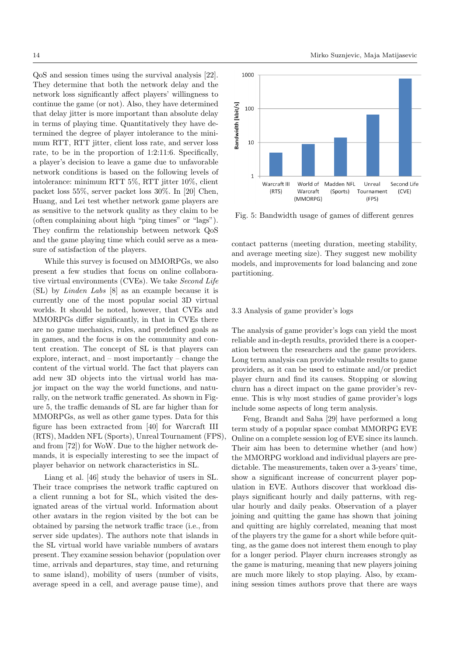QoS and session times using the survival analysis [22]. They determine that both the network delay and the network loss significantly affect players' willingness to continue the game (or not). Also, they have determined that delay jitter is more important than absolute delay in terms of playing time. Quantitatively they have determined the degree of player intolerance to the minimum RTT, RTT jitter, client loss rate, and server loss rate, to be in the proportion of 1:2:11:6. Specifically, a player's decision to leave a game due to unfavorable network conditions is based on the following levels of intolerance: minimum RTT 5%, RTT jitter 10%, client packet loss 55%, server packet loss 30%. In [20] Chen, Huang, and Lei test whether network game players are as sensitive to the network quality as they claim to be (often complaining about high "ping times" or "lags"). They confirm the relationship between network QoS and the game playing time which could serve as a measure of satisfaction of the players.

While this survey is focused on MMORPGs, we also present a few studies that focus on online collaborative virtual environments (CVEs). We take Second Life (SL) by Linden Labs [8] as an example because it is currently one of the most popular social 3D virtual worlds. It should be noted, however, that CVEs and MMORPGs differ significantly, in that in CVEs there are no game mechanics, rules, and predefined goals as in games, and the focus is on the community and content creation. The concept of SL is that players can explore, interact, and – most importantly – change the content of the virtual world. The fact that players can add new 3D objects into the virtual world has major impact on the way the world functions, and naturally, on the network traffic generated. As shown in Figure 5, the traffic demands of SL are far higher than for MMORPGs, as well as other game types. Data for this figure has been extracted from [40] for Warcraft III (RTS), Madden NFL (Sports), Unreal Tournament (FPS), and from [72]) for WoW. Due to the higher network demands, it is especially interesting to see the impact of player behavior on network characteristics in SL.

Liang et al. [46] study the behavior of users in SL. Their trace comprises the network traffic captured on a client running a bot for SL, which visited the designated areas of the virtual world. Information about other avatars in the region visited by the bot can be obtained by parsing the network traffic trace (i.e., from server side updates). The authors note that islands in the SL virtual world have variable numbers of avatars present. They examine session behavior (population over time, arrivals and departures, stay time, and returning to same island), mobility of users (number of visits, average speed in a cell, and average pause time), and



Fig. 5: Bandwidth usage of games of different genres

contact patterns (meeting duration, meeting stability, and average meeting size). They suggest new mobility models, and improvements for load balancing and zone partitioning.

### 3.3 Analysis of game provider's logs

The analysis of game provider's logs can yield the most reliable and in-depth results, provided there is a cooperation between the researchers and the game providers. Long term analysis can provide valuable results to game providers, as it can be used to estimate and/or predict player churn and find its causes. Stopping or slowing churn has a direct impact on the game provider's revenue. This is why most studies of game provider's logs include some aspects of long term analysis.

Feng, Brandt and Saha [29] have performed a long term study of a popular space combat MMORPG EVE Online on a complete session log of EVE since its launch. Their aim has been to determine whether (and how) the MMORPG workload and individual players are predictable. The measurements, taken over a 3-years' time, show a significant increase of concurrent player population in EVE. Authors discover that workload displays significant hourly and daily patterns, with regular hourly and daily peaks. Observation of a player joining and quitting the game has shown that joining and quitting are highly correlated, meaning that most of the players try the game for a short while before quitting, as the game does not interest them enough to play for a longer period. Player churn increases strongly as the game is maturing, meaning that new players joining are much more likely to stop playing. Also, by examining session times authors prove that there are ways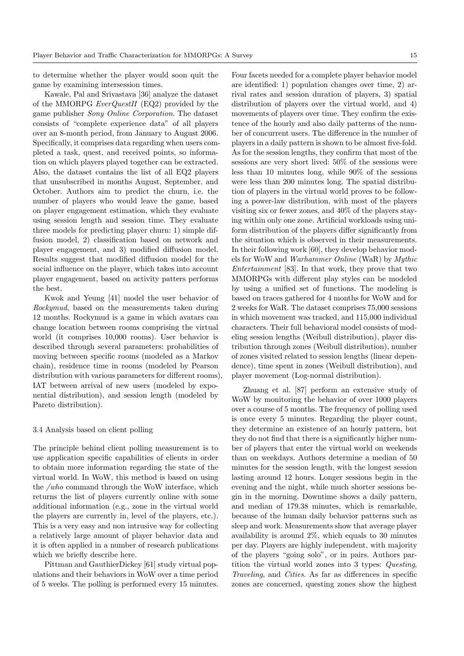to determine whether the player would soon quit the game by examining intersession times.

Kawale, Pal and Srivastava [36] analyze the dataset of the MMORPG EverQuestII (EQ2) provided by the game publisher Sony Online Corporation. The dataset consists of "complete experience data" of all players over an 8-month period, from January to August 2006. Specifically, it comprises data regarding when users completed a task, quest, and received points, so information on which players played together can be extracted. Also, the dataset contains the list of all EQ2 players that unsubscribed in months August, September, and October. Authors aim to predict the churn, i.e. the number of players who would leave the game, based on player engagement estimation, which they evaluate using session length and session time. They evaluate three models for predicting player churn: 1) simple diffusion model, 2) classification based on network and player engagement, and 3) modified diffusion model. Results suggest that modified diffusion model for the social influence on the player, which takes into account player engagement, based on activity patters performs the best.

Kwok and Yeung [41] model the user behavior of Rockymud, based on the measurements taken during 12 months. Rockymud is a game in which avatars can change location between rooms comprising the virtual world (it comprises 10,000 rooms). User behavior is described through several parameters: probabilities of moving between specific rooms (modeled as a Markov chain), residence time in rooms (modeled by Pearson distribution with various parameters for different rooms), IAT between arrival of new users (modeled by exponential distribution), and session length (modeled by Pareto distribution).

## 3.4 Analysis based on client polling

The principle behind client polling measurement is to use application specific capabilities of clients in order to obtain more information regarding the state of the virtual world. In WoW, this method is based on using the /who command through the WoW interface, which returns the list of players currently online with some additional information (e.g., zone in the virtual world the players are currently in, level of the players, etc.). This is a very easy and non intrusive way for collecting a relatively large amount of player behavior data and it is often applied in a number of research publications which we briefly describe here.

Pittman and GauthierDickey [61] study virtual populations and their behaviors in WoW over a time period of 5 weeks. The polling is performed every 15 minutes. Four facets needed for a complete player behavior model are identified: 1) population changes over time, 2) arrival rates and session duration of players, 3) spatial distribution of players over the virtual world, and 4) movements of players over time. They confirm the existence of the hourly and also daily patterns of the number of concurrent users. The difference in the number of players in a daily pattern is shown to be almost five-fold. As for the session lengths, they confirm that most of the sessions are very short lived: 50% of the sessions were less than 10 minutes long, while 90% of the sessions were less than 200 minutes long. The spatial distribution of players in the virtual world proves to be following a power-law distribution, with most of the players visiting six or fewer zones, and 40% of the players staying within only one zone. Artificial workloads using uniform distribution of the players differ significantly from the situation which is observed in their measurements. In their following work [60], they develop behavior models for WoW and Warhammer Online (WaR) by Mythic Entertainment [83]. In that work, they prove that two MMORPGs with different play styles can be modeled by using a unified set of functions. The modeling is based on traces gathered for 4 months for WoW and for 2 weeks for WaR. The dataset comprises 75,000 sessions in which movement was tracked, and 115,000 individual characters. Their full behavioral model consists of modeling session lengths (Weibull distribution), player distribution through zones (Weibull distribution), number of zones visited related to session lengths (linear dependence), time spent in zones (Weibull distribution), and player movement (Log-normal distribution).

Zhuang et al. [87] perform an extensive study of WoW by monitoring the behavior of over 1000 players over a course of 5 months. The frequency of polling used is once every 5 minutes. Regarding the player count, they determine an existence of an hourly pattern, but they do not find that there is a significantly higher number of players that enter the virtual world on weekends than on weekdays. Authors determine a median of 50 minutes for the session length, with the longest session lasting around 12 hours. Longer sessions begin in the evening and the night, while much shorter sessions begin in the morning. Downtime shows a daily pattern, and median of 179.38 minutes, which is remarkable, because of the human daily behavior patterns such as sleep and work. Measurements show that average player availability is around 2%, which equals to 30 minutes per day. Players are highly independent, with majority of the players "going solo", or in pairs. Authors partition the virtual world zones into 3 types: Questing, Traveling, and Cities. As far as differences in specific zones are concerned, questing zones show the highest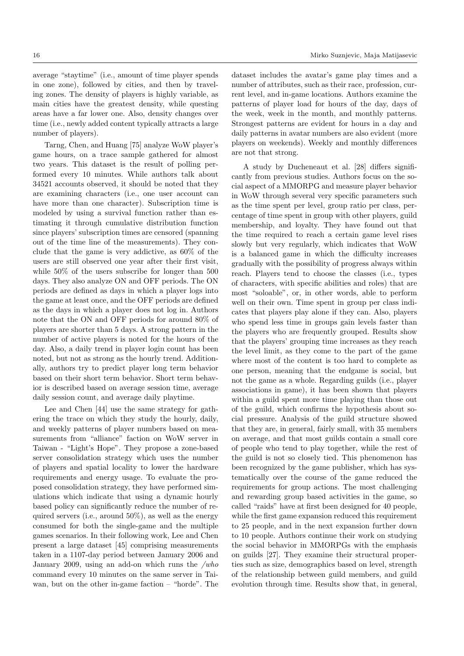average "staytime" (i.e., amount of time player spends in one zone), followed by cities, and then by traveling zones. The density of players is highly variable, as main cities have the greatest density, while questing areas have a far lower one. Also, density changes over time (i.e., newly added content typically attracts a large number of players).

Tarng, Chen, and Huang [75] analyze WoW player's game hours, on a trace sample gathered for almost two years. This dataset is the result of polling performed every 10 minutes. While authors talk about 34521 accounts observed, it should be noted that they are examining characters (i.e., one user account can have more than one character). Subscription time is modeled by using a survival function rather than estimating it through cumulative distribution function since players' subscription times are censored (spanning out of the time line of the measurements). They conclude that the game is very addictive, as 60% of the users are still observed one year after their first visit, while 50% of the users subscribe for longer than 500 days. They also analyze ON and OFF periods. The ON periods are defined as days in which a player logs into the game at least once, and the OFF periods are defined as the days in which a player does not log in. Authors note that the ON and OFF periods for around 80% of players are shorter than 5 days. A strong pattern in the number of active players is noted for the hours of the day. Also, a daily trend in player login count has been noted, but not as strong as the hourly trend. Additionally, authors try to predict player long term behavior based on their short term behavior. Short term behavior is described based on average session time, average daily session count, and average daily playtime.

Lee and Chen [44] use the same strategy for gathering the trace on which they study the hourly, daily, and weekly patterns of player numbers based on measurements from "alliance" faction on WoW server in Taiwan - "Light's Hope". They propose a zone-based server consolidation strategy which uses the number of players and spatial locality to lower the hardware requirements and energy usage. To evaluate the proposed consolidation strategy, they have performed simulations which indicate that using a dynamic hourly based policy can significantly reduce the number of required servers (i.e., around  $50\%$ ), as well as the energy consumed for both the single-game and the multiple games scenarios. In their following work, Lee and Chen present a large dataset [45] comprising measurements taken in a 1107-day period between January 2006 and January 2009, using an add-on which runs the /who command every 10 minutes on the same server in Taiwan, but on the other in-game faction – "horde". The

dataset includes the avatar's game play times and a number of attributes, such as their race, profession, current level, and in-game locations. Authors examine the patterns of player load for hours of the day, days of the week, week in the month, and monthly patterns. Strongest patterns are evident for hours in a day and daily patterns in avatar numbers are also evident (more players on weekends). Weekly and monthly differences are not that strong.

A study by Ducheneaut et al. [28] differs significantly from previous studies. Authors focus on the social aspect of a MMORPG and measure player behavior in WoW through several very specific parameters such as the time spent per level, group ratio per class, percentage of time spent in group with other players, guild membership, and loyalty. They have found out that the time required to reach a certain game level rises slowly but very regularly, which indicates that WoW is a balanced game in which the difficulty increases gradually with the possibility of progress always within reach. Players tend to choose the classes (i.e., types of characters, with specific abilities and roles) that are most "soloable", or, in other words, able to perform well on their own. Time spent in group per class indicates that players play alone if they can. Also, players who spend less time in groups gain levels faster than the players who are frequently grouped. Results show that the players' grouping time increases as they reach the level limit, as they come to the part of the game where most of the content is too hard to complete as one person, meaning that the endgame is social, but not the game as a whole. Regarding guilds (i.e., player associations in game), it has been shown that players within a guild spent more time playing than those out of the guild, which confirms the hypothesis about social pressure. Analysis of the guild structure showed that they are, in general, fairly small, with 35 members on average, and that most guilds contain a small core of people who tend to play together, while the rest of the guild is not so closely tied. This phenomenon has been recognized by the game publisher, which has systematically over the course of the game reduced the requirements for group actions. The most challenging and rewarding group based activities in the game, so called "raids" have at first been designed for 40 people, while the first game expansion reduced this requirement to 25 people, and in the next expansion further down to 10 people. Authors continue their work on studying the social behavior in MMORPGs with the emphasis on guilds [27]. They examine their structural properties such as size, demographics based on level, strength of the relationship between guild members, and guild evolution through time. Results show that, in general,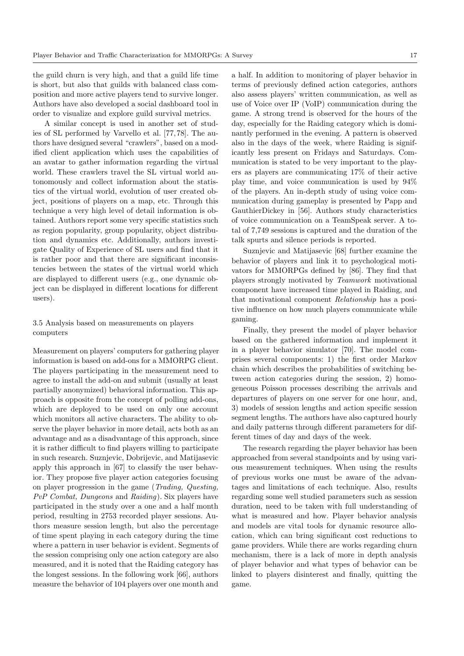the guild churn is very high, and that a guild life time is short, but also that guilds with balanced class composition and more active players tend to survive longer. Authors have also developed a social dashboard tool in order to visualize and explore guild survival metrics.

A similar concept is used in another set of studies of SL performed by Varvello et al. [77, 78]. The authors have designed several "crawlers", based on a modified client application which uses the capabilities of an avatar to gather information regarding the virtual world. These crawlers travel the SL virtual world autonomously and collect information about the statistics of the virtual world, evolution of user created object, positions of players on a map, etc. Through this technique a very high level of detail information is obtained. Authors report some very specific statistics such as region popularity, group popularity, object distribution and dynamics etc. Additionally, authors investigate Quality of Experience of SL users and find that it is rather poor and that there are significant inconsistencies between the states of the virtual world which are displayed to different users (e.g., one dynamic object can be displayed in different locations for different users).

## 3.5 Analysis based on measurements on players computers

Measurement on players' computers for gathering player information is based on add-ons for a MMORPG client. The players participating in the measurement need to agree to install the add-on and submit (usually at least partially anonymized) behavioral information. This approach is opposite from the concept of polling add-ons, which are deployed to be used on only one account which monitors all active characters. The ability to observe the player behavior in more detail, acts both as an advantage and as a disadvantage of this approach, since it is rather difficult to find players willing to participate in such research. Suznjevic, Dobrijevic, and Matijasevic apply this approach in [67] to classify the user behavior. They propose five player action categories focusing on player progression in the game (Trading, Questing, PvP Combat, Dungeons and Raiding). Six players have participated in the study over a one and a half month period, resulting in 2753 recorded player sessions. Authors measure session length, but also the percentage of time spent playing in each category during the time where a pattern in user behavior is evident. Segments of the session comprising only one action category are also measured, and it is noted that the Raiding category has the longest sessions. In the following work [66], authors measure the behavior of 104 players over one month and

a half. In addition to monitoring of player behavior in terms of previously defined action categories, authors also assess players' written communication, as well as use of Voice over IP (VoIP) communication during the game. A strong trend is observed for the hours of the day, especially for the Raiding category which is dominantly performed in the evening. A pattern is observed also in the days of the week, where Raiding is significantly less present on Fridays and Saturdays. Communication is stated to be very important to the players as players are communicating 17% of their active play time, and voice communication is used by 94% of the players. An in-depth study of using voice communication during gameplay is presented by Papp and GauthierDickey in [56]. Authors study characteristics of voice communication on a TeamSpeak server. A total of 7,749 sessions is captured and the duration of the talk spurts and silence periods is reported.

Suznjevic and Matijasevic [68] further examine the behavior of players and link it to psychological motivators for MMORPGs defined by [86]. They find that players strongly motivated by Teamwork motivational component have increased time played in Raiding, and that motivational component Relationship has a positive influence on how much players communicate while gaming.

Finally, they present the model of player behavior based on the gathered information and implement it in a player behavior simulator [70]. The model comprises several components: 1) the first order Markov chain which describes the probabilities of switching between action categories during the session, 2) homogeneous Poisson processes describing the arrivals and departures of players on one server for one hour, and, 3) models of session lengths and action specific session segment lengths. The authors have also captured hourly and daily patterns through different parameters for different times of day and days of the week.

The research regarding the player behavior has been approached from several standpoints and by using various measurement techniques. When using the results of previous works one must be aware of the advantages and limitations of each technique. Also, results regarding some well studied parameters such as session duration, need to be taken with full understanding of what is measured and how. Player behavior analysis and models are vital tools for dynamic resource allocation, which can bring significant cost reductions to game providers. While there are works regarding churn mechanism, there is a lack of more in depth analysis of player behavior and what types of behavior can be linked to players disinterest and finally, quitting the game.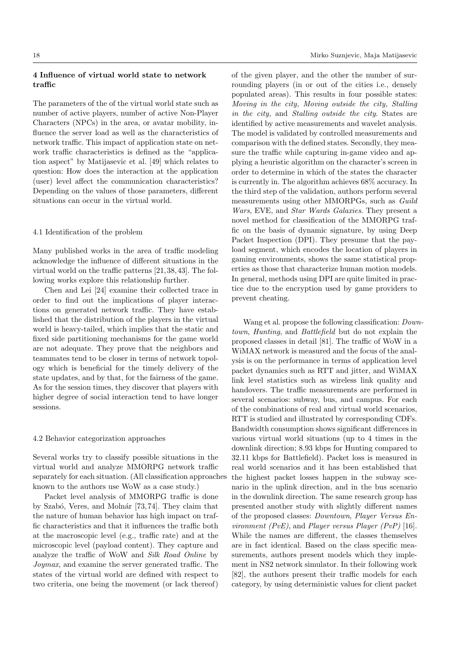## 4 Influence of virtual world state to network traffic

The parameters of the of the virtual world state such as number of active players, number of active Non-Player Characters (NPCs) in the area, or avatar mobility, influence the server load as well as the characteristics of network traffic. This impact of application state on network traffic characteristics is defined as the "application aspect" by Matijasevic et al. [49] which relates to question: How does the interaction at the application (user) level affect the communication characteristics? Depending on the values of those parameters, different situations can occur in the virtual world.

## 4.1 Identification of the problem

Many published works in the area of traffic modeling acknowledge the influence of different situations in the virtual world on the traffic patterns [21, 38, 43]. The following works explore this relationship further.

Chen and Lei [24] examine their collected trace in order to find out the implications of player interactions on generated network traffic. They have established that the distribution of the players in the virtual world is heavy-tailed, which implies that the static and fixed side partitioning mechanisms for the game world are not adequate. They prove that the neighbors and teammates tend to be closer in terms of network topology which is beneficial for the timely delivery of the state updates, and by that, for the fairness of the game. As for the session times, they discover that players with higher degree of social interaction tend to have longer sessions.

#### 4.2 Behavior categorization approaches

Several works try to classify possible situations in the virtual world and analyze MMORPG network traffic separately for each situation. (All classification approaches known to the authors use WoW as a case study.)

Packet level analysis of MMORPG traffic is done by Szabó, Veres, and Molnár [73, 74]. They claim that the nature of human behavior has high impact on traffic characteristics and that it influences the traffic both at the macroscopic level (e.g., traffic rate) and at the microscopic level (payload content). They capture and analyze the traffic of WoW and Silk Road Online by Joymax, and examine the server generated traffic. The states of the virtual world are defined with respect to two criteria, one being the movement (or lack thereof)

of the given player, and the other the number of surrounding players (in or out of the cities i.e., densely populated areas). This results in four possible states: Moving in the city, Moving outside the city, Stalling in the city, and Stalling outside the city. States are identified by active measurements and wavelet analysis. The model is validated by controlled measurements and comparison with the defined states. Secondly, they measure the traffic while capturing in-game video and applying a heuristic algorithm on the character's screen in order to determine in which of the states the character is currently in. The algorithm achieves 68% accuracy. In the third step of the validation, authors perform several measurements using other MMORPGs, such as Guild Wars, EVE, and Star Wards Galaxies. They present a novel method for classification of the MMORPG traffic on the basis of dynamic signature, by using Deep Packet Inspection (DPI). They presume that the payload segment, which encodes the location of players in gaming environments, shows the same statistical properties as those that characterize human motion models. In general, methods using DPI are quite limited in practice due to the encryption used by game providers to prevent cheating.

Wang et al. propose the following classification: Downtown, Hunting, and Battlefield but do not explain the proposed classes in detail [81]. The traffic of WoW in a WiMAX network is measured and the focus of the analysis is on the performance in terms of application level packet dynamics such as RTT and jitter, and WiMAX link level statistics such as wireless link quality and handovers. The traffic measurements are performed in several scenarios: subway, bus, and campus. For each of the combinations of real and virtual world scenarios, RTT is studied and illustrated by corresponding CDFs. Bandwidth consumption shows significant differences in various virtual world situations (up to 4 times in the downlink direction; 8.93 kbps for Hunting compared to 32.11 kbps for Battlefield). Packet loss is measured in real world scenarios and it has been established that the highest packet losses happen in the subway scenario in the uplink direction, and in the bus scenario in the downlink direction. The same research group has presented another study with slightly different names of the proposed classes: Downtown, Player Versus En*vironment (PvE)*, and *Player versus Player (PvP)* [16]. While the names are different, the classes themselves are in fact identical. Based on the class specific measurements, authors present models which they implement in NS2 network simulator. In their following work [82], the authors present their traffic models for each category, by using deterministic values for client packet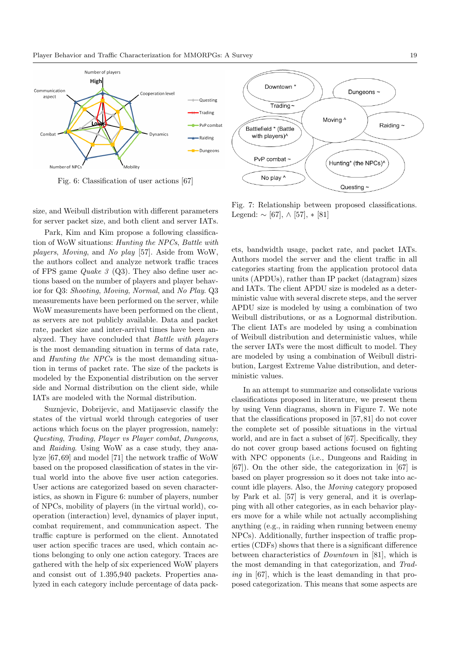

size, and Weibull distribution with different parameters for server packet size, and both client and server IATs.

Park, Kim and Kim propose a following classification of WoW situations: Hunting the NPCs, Battle with players, Moving, and No play [57]. Aside from WoW, the authors collect and analyze network traffic traces of FPS game  $Quake \t3 \t(Q3)$ . They also define user actions based on the number of players and player behavior for Q3: Shooting, Moving, Normal, and No Play. Q3 measurements have been performed on the server, while WoW measurements have been performed on the client, as servers are not publicly available. Data and packet rate, packet size and inter-arrival times have been analyzed. They have concluded that Battle with players is the most demanding situation in terms of data rate, and Hunting the NPCs is the most demanding situation in terms of packet rate. The size of the packets is modeled by the Exponential distribution on the server side and Normal distribution on the client side, while IATs are modeled with the Normal distribution.

Suznjevic, Dobrijevic, and Matijasevic classify the states of the virtual world through categories of user actions which focus on the player progression, namely: Questing, Trading, Player vs Player combat, Dungeons, and Raiding. Using WoW as a case study, they analyze [67, 69] and model [71] the network traffic of WoW based on the proposed classification of states in the virtual world into the above five user action categories. User actions are categorized based on seven characteristics, as shown in Figure 6: number of players, number of NPCs, mobility of players (in the virtual world), cooperation (interaction) level, dynamics of player input, combat requirement, and communication aspect. The traffic capture is performed on the client. Annotated user action specific traces are used, which contain actions belonging to only one action category. Traces are gathered with the help of six experienced WoW players and consist out of 1.395,940 packets. Properties analyzed in each category include percentage of data pack-

Fig. 7: Relationship between proposed classifications. Legend:  $\sim$  [67], ∧ [57],  $\ast$  [81]

ets, bandwidth usage, packet rate, and packet IATs. Authors model the server and the client traffic in all categories starting from the application protocol data units (APDUs), rather than IP packet (datagram) sizes and IATs. The client APDU size is modeled as a deterministic value with several discrete steps, and the server APDU size is modeled by using a combination of two Weibull distributions, or as a Lognormal distribution. The client IATs are modeled by using a combination of Weibull distribution and deterministic values, while the server IATs were the most difficult to model. They are modeled by using a combination of Weibull distribution, Largest Extreme Value distribution, and deterministic values.

In an attempt to summarize and consolidate various classifications proposed in literature, we present them by using Venn diagrams, shown in Figure 7. We note that the classifications proposed in [57, 81] do not cover the complete set of possible situations in the virtual world, and are in fact a subset of [67]. Specifically, they do not cover group based actions focused on fighting with NPC opponents (i.e., Dungeons and Raiding in [67]). On the other side, the categorization in [67] is based on player progression so it does not take into account idle players. Also, the Moving category proposed by Park et al. [57] is very general, and it is overlapping with all other categories, as in each behavior players move for a while while not actually accomplishing anything (e.g., in raiding when running between enemy NPCs). Additionally, further inspection of traffic properties (CDFs) shows that there is a significant difference between characteristics of Downtown in [81], which is the most demanding in that categorization, and Trading in [67], which is the least demanding in that proposed categorization. This means that some aspects are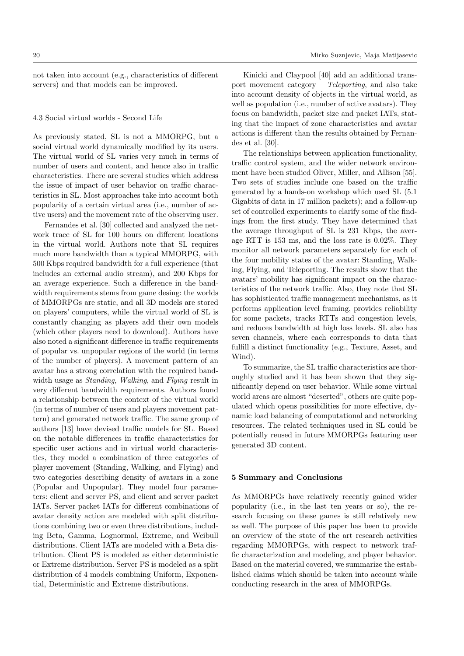not taken into account (e.g., characteristics of different servers) and that models can be improved.

#### 4.3 Social virtual worlds - Second Life

As previously stated, SL is not a MMORPG, but a social virtual world dynamically modified by its users. The virtual world of SL varies very much in terms of number of users and content, and hence also in traffic characteristics. There are several studies which address the issue of impact of user behavior on traffic characteristics in SL. Most approaches take into account both popularity of a certain virtual area (i.e., number of active users) and the movement rate of the observing user.

Fernandes et al. [30] collected and analyzed the network trace of SL for 100 hours on different locations in the virtual world. Authors note that SL requires much more bandwidth than a typical MMORPG, with 500 Kbps required bandwidth for a full experience (that includes an external audio stream), and 200 Kbps for an average experience. Such a difference in the bandwidth requirements stems from game desing: the worlds of MMORPGs are static, and all 3D models are stored on players' computers, while the virtual world of SL is constantly changing as players add their own models (which other players need to download). Authors have also noted a significant difference in traffic requirements of popular vs. unpopular regions of the world (in terms of the number of players). A movement pattern of an avatar has a strong correlation with the required bandwidth usage as *Standing*, *Walking*, and *Flying* result in very different bandwidth requirements. Authors found a relationship between the context of the virtual world (in terms of number of users and players movement pattern) and generated network traffic. The same group of authors [13] have devised traffic models for SL. Based on the notable differences in traffic characteristics for specific user actions and in virtual world characteristics, they model a combination of three categories of player movement (Standing, Walking, and Flying) and two categories describing density of avatars in a zone (Popular and Unpopular). They model four parameters: client and server PS, and client and server packet IATs. Server packet IATs for different combinations of avatar density action are modeled with split distributions combining two or even three distributions, including Beta, Gamma, Lognormal, Extreme, and Weibull distributions. Client IATs are modeled with a Beta distribution. Client PS is modeled as either deterministic or Extreme distribution. Server PS is modeled as a split distribution of 4 models combining Uniform, Exponential, Deterministic and Extreme distributions.

Kinicki and Claypool [40] add an additional transport movement category – Teleporting, and also take into account density of objects in the virtual world, as well as population (i.e., number of active avatars). They focus on bandwidth, packet size and packet IATs, stating that the impact of zone characteristics and avatar actions is different than the results obtained by Fernandes et al. [30].

The relationships between application functionality, traffic control system, and the wider network environment have been studied Oliver, Miller, and Allison [55]. Two sets of studies include one based on the traffic generated by a hands-on workshop which used SL (5.1 Gigabits of data in 17 million packets); and a follow-up set of controlled experiments to clarify some of the findings from the first study. They have determined that the average throughput of SL is 231 Kbps, the average RTT is 153 ms, and the loss rate is 0.02%. They monitor all network parameters separately for each of the four mobility states of the avatar: Standing, Walking, Flying, and Teleporting. The results show that the avatars' mobility has significant impact on the characteristics of the network traffic. Also, they note that SL has sophisticated traffic management mechanisms, as it performs application level framing, provides reliability for some packets, tracks RTTs and congestion levels, and reduces bandwidth at high loss levels. SL also has seven channels, where each corresponds to data that fulfill a distinct functionality (e.g., Texture, Asset, and Wind).

To summarize, the SL traffic characteristics are thoroughly studied and it has been shown that they significantly depend on user behavior. While some virtual world areas are almost "deserted", others are quite populated which opens possibilities for more effective, dynamic load balancing of computational and networking resources. The related techniques used in SL could be potentially reused in future MMORPGs featuring user generated 3D content.

#### 5 Summary and Conclusions

As MMORPGs have relatively recently gained wider popularity (i.e., in the last ten years or so), the research focusing on these games is still relatively new as well. The purpose of this paper has been to provide an overview of the state of the art research activities regarding MMORPGs, with respect to network traffic characterization and modeling, and player behavior. Based on the material covered, we summarize the established claims which should be taken into account while conducting research in the area of MMORPGs.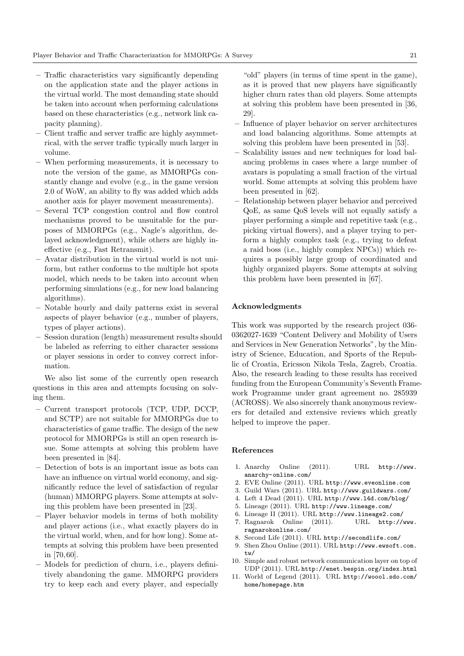- Traffic characteristics vary significantly depending on the application state and the player actions in the virtual world. The most demanding state should be taken into account when performing calculations based on these characteristics (e.g., network link capacity planning).
- Client traffic and server traffic are highly asymmetrical, with the server traffic typically much larger in volume.
- When performing measurements, it is necessary to note the version of the game, as MMORPGs constantly change and evolve (e.g., in the game version 2.0 of WoW, an ability to fly was added which adds another axis for player movement measurements).
- Several TCP congestion control and flow control mechanisms proved to be unsuitable for the purposes of MMORPGs (e.g., Nagle's algorithm, delayed acknowledgment), while others are highly ineffective (e.g., Fast Retransmit).
- Avatar distribution in the virtual world is not uniform, but rather conforms to the multiple hot spots model, which needs to be taken into account when performing simulations (e.g., for new load balancing algorithms).
- Notable hourly and daily patterns exist in several aspects of player behavior (e.g., number of players, types of player actions).
- Session duration (length) measurement results should be labeled as referring to either character sessions or player sessions in order to convey correct information.

We also list some of the currently open research questions in this area and attempts focusing on solving them.

- Current transport protocols (TCP, UDP, DCCP, and SCTP) are not suitable for MMORPGs due to characteristics of game traffic. The design of the new protocol for MMORPGs is still an open research issue. Some attempts at solving this problem have been presented in [84].
- Detection of bots is an important issue as bots can have an influence on virtual world economy, and significantly reduce the level of satisfaction of regular (human) MMORPG players. Some attempts at solving this problem have been presented in [23].
- Player behavior models in terms of both mobility and player actions (i.e., what exactly players do in the virtual world, when, and for how long). Some attempts at solving this problem have been presented in [70, 60].
- Models for prediction of churn, i.e., players definitively abandoning the game. MMORPG providers try to keep each and every player, and especially

"old" players (in terms of time spent in the game), as it is proved that new players have significantly higher churn rates than old players. Some attempts at solving this problem have been presented in [36, 29].

- Influence of player behavior on server architectures and load balancing algorithms. Some attempts at solving this problem have been presented in [53].
- Scalability issues and new techniques for load balancing problems in cases where a large number of avatars is populating a small fraction of the virtual world. Some attempts at solving this problem have been presented in [62].
- Relationship between player behavior and perceived QoE, as same QoS levels will not equally satisfy a player performing a simple and repetitive task (e.g., picking virtual flowers), and a player trying to perform a highly complex task (e.g., trying to defeat a raid boss (i.e., highly complex NPCs)) which requires a possibly large group of coordinated and highly organized players. Some attempts at solving this problem have been presented in [67].

## Acknowledgments

This work was supported by the research project 036- 0362027-1639 "Content Delivery and Mobility of Users and Services in New Generation Networks", by the Ministry of Science, Education, and Sports of the Republic of Croatia, Ericsson Nikola Tesla, Zagreb, Croatia. Also, the research leading to these results has received funding from the European Community's Seventh Framework Programme under grant agreement no. 285939 (ACROSS). We also sincerely thank anonymous reviewers for detailed and extensive reviews which greatly helped to improve the paper.

#### References

- 1. Anarchy Online (2011). URL http://www. anarchy-online.com/
- 2. EVE Online (2011). URL http://www.eveonline.com
- 3. Guild Wars (2011). URL http://www.guildwars.com/
- 4. Left 4 Dead (2011). URL http://www.l4d.com/blog/
- 5. Lineage (2011). URL http://www.lineage.com/
- 6. Lineage II (2011). URL http://www.lineage2.com/
- 7. Ragnarok Online (2011). URL http://www. ragnarokonline.com/
- 8. Second Life (2011). URL http://secondlife.com/
- 9. Shen Zhou Online (2011). URL http://www.ewsoft.com. tw/
- 10. Simple and robust network communication layer on top of UDP (2011). URL http://enet.bespin.org/index.html
- 11. World of Legend (2011). URL http://woool.sdo.com/ home/homepage.htm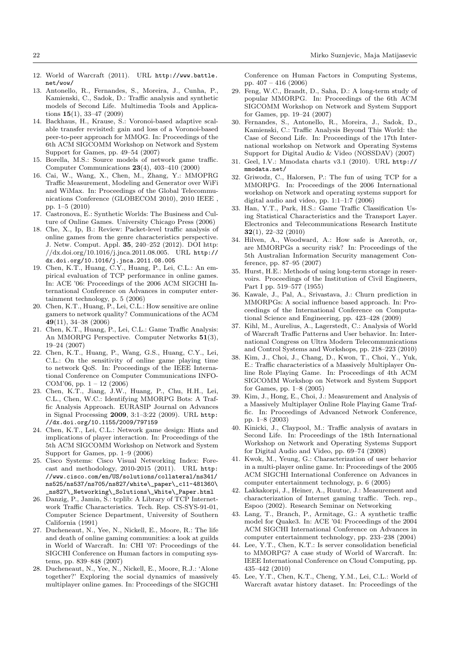- 12. World of Warcraft (2011). URL http://www.battle. net/wow/
- 13. Antonello, R., Fernandes, S., Moreira, J., Cunha, P., Kamienski, C., Sadok, D.: Traffic analysis and synthetic models of Second Life. Multimedia Tools and Applications  $15(1)$ , 33-47 (2009)
- 14. Backhaus, H., Krause, S.: Voronoi-based adaptive scalable transfer revisited: gain and loss of a Voronoi-based peer-to-peer approach for MMOG. In: Proceedings of the 6th ACM SIGCOMM Workshop on Network and System Support for Games, pp. 49–54 (2007)
- 15. Borella, M.S.: Source models of network game traffic. Computer Communications 23(4), 403–410 (2000)
- 16. Cai, W., Wang, X., Chen, M., Zhang, Y.: MMOPRG Traffic Measurement, Modeling and Generator over WiFi and WiMax. In: Proceedings of the Global Telecommunications Conference (GLOBECOM 2010), 2010 IEEE , pp. 1–5 (2010)
- 17. Castronova, E.: Synthetic Worlds: The Business and Culture of Online Games. University Chicago Press (2006)
- 18. Che, X., Ip, B.: Review: Packet-level traffic analysis of online games from the genre characteristics perspective. J. Netw. Comput. Appl. 35, 240–252 (2012). DOI http: //dx.doi.org/10.1016/j.jnca.2011.08.005. URL http:// dx.doi.org/10.1016/j.jnca.2011.08.005
- 19. Chen, K.T., Huang, C.Y., Huang, P., Lei, C.L.: An empirical evaluation of TCP performance in online games. In: ACE '06: Proceedings of the 2006 ACM SIGCHI International Conference on Advances in computer entertainment technology, p. 5 (2006)
- 20. Chen, K.T., Huang, P., Lei, C.L.: How sensitive are online gamers to network quality? Communications of the ACM  $49(11), 34-38(2006)$
- 21. Chen, K.T., Huang, P., Lei, C.L.: Game Traffic Analysis: An MMORPG Perspective. Computer Networks 51(3), 19–24 (2007)
- 22. Chen, K.T., Huang, P., Wang, G.S., Huang, C.Y., Lei, C.L.: On the sensitivity of online game playing time to network QoS. In: Proceedings of the IEEE International Conference on Computer Communications INFO-COM'06, pp.  $1 - 12$  (2006)
- 23. Chen, K.T., Jiang, J.W., Huang, P., Chu, H.H., Lei, C.L., Chen, W.C.: Identifying MMORPG Bots: A Traffic Analysis Approach. EURASIP Journal on Advances in Signal Processing 2009, 3:1–3:22 (2009). URL http: //dx.doi.org/10.1155/2009/797159
- 24. Chen, K.T., Lei, C.L.: Network game design: Hints and implications of player interaction. In: Proceedings of the 5th ACM SIGCOMM Workshop on Network and System Support for Games, pp. 1–9 (2006)
- 25. Cisco Systems: Cisco Visual Networking Index: Forecast and methodology, 2010-2015 (2011). URL http: //www.cisco.com/en/US/solutions/collateral/ns341/ ns525/ns537/ns705/ns827/white\\_paper\\_c11-481360\ \_ns827\\_Networking\\_Solutions\\_White\\_Paper.html
- 26. Danzig, P., Jamin, S.: tcplib: A Library of TCP Internetwork Traffic Characteristics. Tech. Rep. CS-SYS-91-01, Computer Science Department, University of Southern California (1991)
- 27. Ducheneaut, N., Yee, N., Nickell, E., Moore, R.: The life and death of online gaming communities: a look at guilds in World of Warcraft. In: CHI '07: Proceedings of the SIGCHI Conference on Human factors in computing systems, pp. 839–848 (2007)
- 28. Ducheneaut, N., Yee, N., Nickell, E., Moore, R.J.: 'Alone together?' Exploring the social dynamics of massively multiplayer online games. In: Proceedings of the SIGCHI

Conference on Human Factors in Computing Systems, pp. 407 – 416 (2006)

- 29. Feng, W.C., Brandt, D., Saha, D.: A long-term study of popular MMORPG. In: Proceedings of the 6th ACM SIGCOMM Workshop on Network and System Support for Games, pp. 19–24 (2007)
- 30. Fernandes, S., Antonello, R., Moreira, J., Sadok, D., Kamienski, C.: Traffic Analysis Beyond This World: the Case of Second Life. In: Proceedings of the 17th International workshop on Network and Operating Systems Support for Digital Audio & Video (NOSSDAV) (2007)
- 31. Geel, I.V.: Mmodata charts v3.1 (2010). URL http:// mmodata net/
- 32. Griwodz, C., Halorsen, P.: The fun of using TCP for a MMORPG. In: Proceedings of the 2006 International workshop on Network and operating systems support for digital audio and video, pp. 1:1–1:7 (2006)
- 33. Han, Y.T., Park, H.S.: Game Traffic Classification Using Statistical Characteristics and the Transport Layer. Electronics and Telecommunications Research Institute 32(1), 22–32 (2010)
- 34. Hilven, A., Woodward, A.: How safe is Azeroth, or, are MMORPGs a security risk? In: Proceedings of the 5th Australian Information Security management Conference, pp. 87–95 (2007)
- 35. Hurst, H.E.: Methods of using long-term storage in reservoirs. Proceedings of the Institution of Civil Engineers, Part I pp. 519–577 (1955)
- 36. Kawale, J., Pal, A., Srivastava, J.: Churn prediction in MMORPGs: A social influence based approach. In: Proceedings of the International Conference on Computational Science and Engineering, pp. 423–428 (2009)
- 37. Kihl, M., Aurelius, A., Lagerstedt, C.: Analysis of World of Warcraft Traffic Patterns and User behavior. In: International Congress on Ultra Modern Telecommunications and Control Systems and Workshops, pp. 218–223 (2010)
- 38. Kim, J., Choi, J., Chang, D., Kwon, T., Choi, Y., Yuk, E.: Traffic characteristics of a Massively Multiplayer Online Role Playing Game. In: Proceedings of 4th ACM SIGCOMM Workshop on Network and System Support for Games, pp. 1–8 (2005)
- 39. Kim, J., Hong, E., Choi, J.: Measurement and Analysis of a Massively Multiplayer Online Role Playing Game Traffic. In: Proceedings of Advanced Network Conference, pp. 1–8 (2003)
- 40. Kinicki, J., Claypool, M.: Traffic analysis of avatars in Second Life. In: Proceedings of the 18th International Workshop on Network and Operating Systems Support for Digital Audio and Video, pp. 69–74 (2008)
- 41. Kwok, M., Yeung, G.: Characterization of user behavior in a multi-player online game. In: Proceedings of the 2005 ACM SIGCHI International Conference on Advances in computer entertainment technology, p. 6 (2005)
- 42. Lakkakorpi, J., Heiner, A., Ruutuc, J.: Measurement and characterization of Internet gaming traffic. Tech. rep., Espoo (2002). Research Seminar on Networking
- 43. Lang, T., Branch, P., Armitage, G.: A synthetic traffic model for Quake3. In: ACE '04: Proceedings of the 2004 ACM SIGCHI International Conference on Advances in computer entertainment technology, pp. 233–238 (2004)
- 44. Lee, Y.T., Chen, K.T.: Is server consolidation beneficial to MMORPG? A case study of World of Warcraft. In: IEEE International Conference on Cloud Computing, pp. 435–442 (2010)
- 45. Lee, Y.T., Chen, K.T., Cheng, Y.M., Lei, C.L.: World of Warcraft avatar history dataset. In: Proceedings of the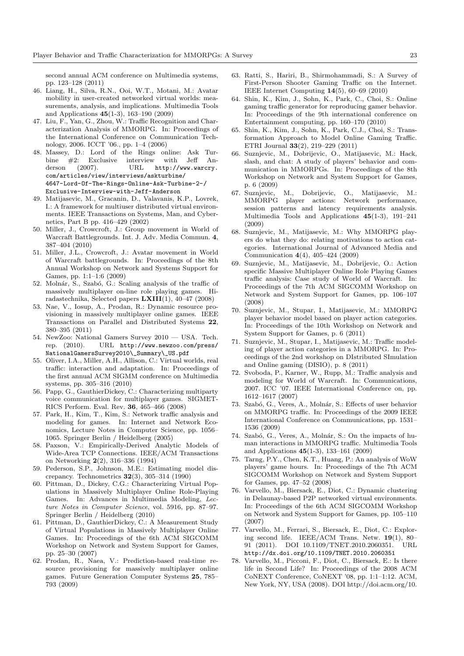second annual ACM conference on Multimedia systems, pp. 123–128 (2011)

- 46. Liang, H., Silva, R.N., Ooi, W.T., Motani, M.: Avatar mobility in user-created networked virtual worlds: measurements, analysis, and implications. Multimedia Tools and Applications 45(1-3), 163–190 (2009)
- 47. Liu, F., Yan, G., Zhou, W.: Traffic Recognition and Characterization Analysis of MMORPG. In: Proceedings of the International Conference on Communication Technology, 2006. ICCT '06., pp. 1–4 (2006)
- 48. Massey, D.: Lord of the Rings online: Ask Turbine #2: Exclusive interview with Jeff Anderson (2007). URL http://www.warcry. com/articles/view/interviews/askturbine/ 4647-Lord-Of-The-Rings-Online-Ask-Turbine-2-/ Exclusive-Interview-with-Jeff-Anderson
- 49. Matijasevic, M., Gracanin, D., Valavanis, K.P., Lovrek, I.: A framework for multiuser distributed virtual environments. IEEE Transactions on Systems, Man, and Cybernetics, Part B pp. 416–429 (2002)
- 50. Miller, J., Crowcroft, J.: Group movement in World of Warcraft Battlegrounds. Int. J. Adv. Media Commun. 4, 387–404 (2010)
- 51. Miller, J.L., Crowcroft, J.: Avatar movement in World of Warcraft battlegrounds. In: Proceedings of the 8th Annual Workshop on Network and Systems Support for Games, pp. 1:1–1:6 (2009)
- 52. Molnár, S., Szabó, G.: Scaling analysis of the traffic of massively multiplayer on-line role playing games. Hiradastechnika, Selected papers LXIII(1), 40–47 (2008)
- 53. Nae, V., Iosup, A., Prodan, R.: Dynamic resource provisioning in massively multiplayer online games. IEEE Transactions on Parallel and Distributed Systems 22, 380–395 (2011)
- 54. NewZoo: National Gamers Survey 2010 USA. Tech. rep. (2010). URL http://www.newzoo.com/press/ NationalGamersSurvey2010\\_Summary\\_US.pdf
- 55. Oliver, I.A., Miller, A.H., Allison, C.: Virtual worlds, real traffic: interaction and adaptation. In: Proceedings of the first annual ACM SIGMM conference on Multimedia systems, pp. 305–316 (2010)
- 56. Papp, G., GauthierDickey, C.: Characterizing multiparty voice communication for multiplayer games. SIGMET-RICS Perform. Eval. Rev. 36, 465–466 (2008)
- 57. Park, H., Kim, T., Kim, S.: Network traffic analysis and modeling for games. In: Internet and Network Economics, Lecture Notes in Computer Science, pp. 1056– 1065. Springer Berlin / Heidelberg (2005)
- 58. Paxson, V.: Empirically-Derived Analytic Models of Wide-Area TCP Connections. IEEE/ACM Transactions on Networking 2(2), 316–336 (1994)
- 59. Pederson, S.P., Johnson, M.E.: Estimating model discrepancy. Technometrics 32(3), 305–314 (1990)
- 60. Pittman, D., Dickey, C.G.: Characterizing Virtual Populations in Massively Multiplayer Online Role-Playing Games. In: Advances in Multimedia Modeling, Lecture Notes in Computer Science, vol. 5916, pp. 87–97. Springer Berlin / Heidelberg (2010)
- 61. Pittman, D., GauthierDickey, C.: A Measurement Study of Virtual Populations in Massively Multiplayer Online Games. In: Proceedings of the 6th ACM SIGCOMM Workshop on Network and System Support for Games, pp. 25–30 (2007)
- 62. Prodan, R., Naea, V.: Prediction-based real-time resource provisioning for massively multiplayer online games. Future Generation Computer Systems 25, 785– 793 (2009)
- 63. Ratti, S., Hariri, B., Shirmohammadi, S.: A Survey of First-Person Shooter Gaming Traffic on the Internet. IEEE Internet Computing 14(5), 60–69 (2010)
- 64. Shin, K., Kim, J., Sohn, K., Park, C., Choi, S.: Online gaming traffic generator for reproducing gamer behavior. In: Proceedings of the 9th international conference on Entertainment computing, pp. 160–170 (2010)
- 65. Shin, K., Kim, J., Sohn, K., Park, C.J., Choi, S.: Transformation Approach to Model Online Gaming Traffic. ETRI Journal 33(2), 219–229 (2011)
- 66. Suznjevic, M., Dobrijevic, O., Matijasevic, M.: Hack, slash, and chat: A study of players' behavior and communication in MMORPGs. In: Proceedings of the 8th Workshop on Network and System Support for Games, p. 6 (2009)
- 67. Suznjevic, M., Dobrijevic, O., Matijasevic, M.: MMORPG player actions: Network performance, session patterns and latency requirements analysis. Multimedia Tools and Applications 45(1-3), 191–241 (2009)
- 68. Suznjevic, M., Matijasevic, M.: Why MMORPG players do what they do: relating motivations to action categories. International Journal of Advanced Media and Communication 4(4), 405–424 (2009)
- 69. Suznjevic, M., Matijasevic, M., Dobrijevic, O.: Action specific Massive Multiplayer Online Role Playing Games traffic analysis: Case study of World of Warcraft. In: Proceedings of the 7th ACM SIGCOMM Workshop on Network and System Support for Games, pp. 106–107 (2008)
- 70. Suznjevic, M., Stupar, I., Matijasevic, M.: MMORPG player behavior model based on player action categories. In: Proceedings of the 10th Workshop on Network and System Support for Games, p. 6 (2011)
- 71. Suznjevic, M., Stupar, I., Matijasevic, M.: Traffic modeling of player action categories in a MMORPG. In: Proceedings of the 2nd workshop on DIstributed SImulation and Online gaming (DISIO), p. 8 (2011)
- 72. Svoboda, P., Karner, W., Rupp, M.: Traffic analysis and modeling for World of Warcraft. In: Communications, 2007. ICC '07. IEEE International Conference on, pp. 1612–1617 (2007)
- 73. Szabó, G., Veres, A., Molnár, S.: Effects of user behavior on MMORPG traffic. In: Proceedings of the 2009 IEEE International Conference on Communications, pp. 1531– 1536 (2009)
- 74. Szabó, G., Veres, A., Molnár, S.: On the impacts of human interactions in MMORPG traffic. Multimedia Tools and Applications 45(1-3), 133–161 (2009)
- 75. Tarng, P.Y., Chen, K.T., Huang, P.: An analysis of WoW players' game hours. In: Proceedings of the 7th ACM SIGCOMM Workshop on Network and System Support for Games, pp. 47–52 (2008)
- 76. Varvello, M., Biersack, E., Diot, C.: Dynamic clustering in Delaunay-based P2P networked virtual environments. In: Proceedings of the 6th ACM SIGCOMM Workshop on Network and System Support for Games, pp. 105–110 (2007)
- 77. Varvello, M., Ferrari, S., Biersack, E., Diot, C.: Exploring second life. IEEE/ACM Trans. Netw. 19(1), 80– 91 (2011). DOI 10.1109/TNET.2010.2060351. URL http://dx.doi.org/10.1109/TNET.2010.2060351
- 78. Varvello, M., Picconi, F., Diot, C., Biersack, E.: Is there life in Second Life? In: Proceedings of the 2008 ACM CoNEXT Conference, CoNEXT '08, pp. 1:1–1:12. ACM, New York, NY, USA (2008). DOI http://doi.acm.org/10.